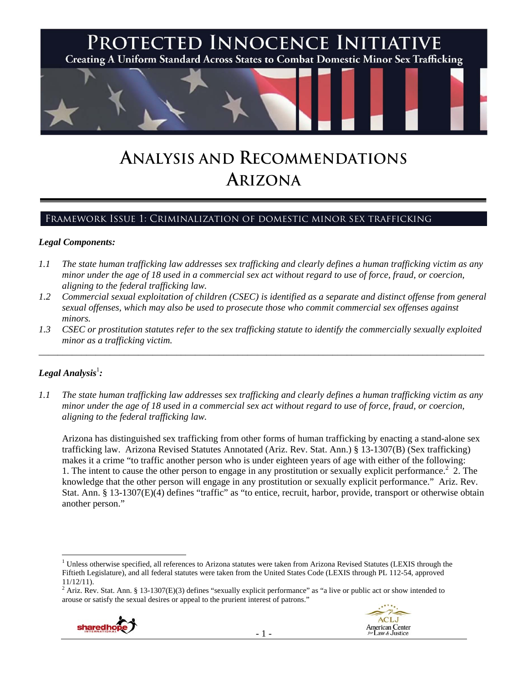

# **ANALYSIS AND RECOMMENDATIONS ARIZONA**

# Framework Issue 1: Criminalization of domestic minor sex trafficking

#### *Legal Components:*

- *1.1 The state human trafficking law addresses sex trafficking and clearly defines a human trafficking victim as any minor under the age of 18 used in a commercial sex act without regard to use of force, fraud, or coercion, aligning to the federal trafficking law.*
- *1.2 Commercial sexual exploitation of children (CSEC) is identified as a separate and distinct offense from general sexual offenses, which may also be used to prosecute those who commit commercial sex offenses against minors.*
- *1.3 CSEC or prostitution statutes refer to the sex trafficking statute to identify the commercially sexually exploited minor as a trafficking victim.*  \_\_\_\_\_\_\_\_\_\_\_\_\_\_\_\_\_\_\_\_\_\_\_\_\_\_\_\_\_\_\_\_\_\_\_\_\_\_\_\_\_\_\_\_\_\_\_\_\_\_\_\_\_\_\_\_\_\_\_\_\_\_\_\_\_\_\_\_\_\_\_\_\_\_\_\_\_\_\_\_\_\_\_\_\_\_\_\_\_\_\_\_\_\_

# $Legal$  Analysis<sup>1</sup>:

 $\overline{a}$ 

*1.1 The state human trafficking law addresses sex trafficking and clearly defines a human trafficking victim as any minor under the age of 18 used in a commercial sex act without regard to use of force, fraud, or coercion, aligning to the federal trafficking law.* 

Arizona has distinguished sex trafficking from other forms of human trafficking by enacting a stand-alone sex trafficking law. Arizona Revised Statutes Annotated (Ariz. Rev. Stat. Ann.) § 13-1307(B) (Sex trafficking) makes it a crime "to traffic another person who is under eighteen years of age with either of the following: 1. The intent to cause the other person to engage in any prostitution or sexually explicit performance.<sup>2</sup> 2. The knowledge that the other person will engage in any prostitution or sexually explicit performance." Ariz. Rev. Stat. Ann. § 13-1307(E)(4) defines "traffic" as "to entice, recruit, harbor, provide, transport or otherwise obtain another person."

 $2$  Ariz. Rev. Stat. Ann. § 13-1307(E)(3) defines "sexually explicit performance" as "a live or public act or show intended to arouse or satisfy the sexual desires or appeal to the prurient interest of patrons."





<sup>&</sup>lt;sup>1</sup> Unless otherwise specified, all references to Arizona statutes were taken from Arizona Revised Statutes (LEXIS through the Fiftieth Legislature), and all federal statutes were taken from the United States Code (LEXIS through PL 112-54, approved 11/12/11).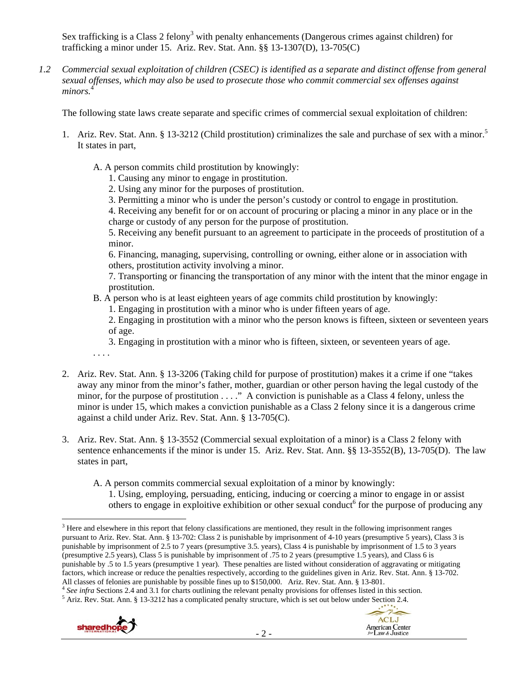Sex trafficking is a Class 2 felony<sup>3</sup> with penalty enhancements (Dangerous crimes against children) for trafficking a minor under 15. Ariz. Rev. Stat. Ann. §§ 13-1307(D), 13-705(C)

*1.2 Commercial sexual exploitation of children (CSEC) is identified as a separate and distinct offense from general sexual offenses, which may also be used to prosecute those who commit commercial sex offenses against*  minors.<sup>4</sup>

The following state laws create separate and specific crimes of commercial sexual exploitation of children:

- 1. Ariz. Rev. Stat. Ann. § 13-3212 (Child prostitution) criminalizes the sale and purchase of sex with a minor.<sup>5</sup> It states in part,
	- A. A person commits child prostitution by knowingly:
		- 1. Causing any minor to engage in prostitution.
		- 2. Using any minor for the purposes of prostitution.
		- 3. Permitting a minor who is under the person's custody or control to engage in prostitution.

4. Receiving any benefit for or on account of procuring or placing a minor in any place or in the charge or custody of any person for the purpose of prostitution.

5. Receiving any benefit pursuant to an agreement to participate in the proceeds of prostitution of a minor.

6. Financing, managing, supervising, controlling or owning, either alone or in association with others, prostitution activity involving a minor.

7. Transporting or financing the transportation of any minor with the intent that the minor engage in prostitution.

- B. A person who is at least eighteen years of age commits child prostitution by knowingly:
	- 1. Engaging in prostitution with a minor who is under fifteen years of age.

2. Engaging in prostitution with a minor who the person knows is fifteen, sixteen or seventeen years of age.

- 3. Engaging in prostitution with a minor who is fifteen, sixteen, or seventeen years of age.
- . . . .
- 2. Ariz. Rev. Stat. Ann. § 13-3206 (Taking child for purpose of prostitution) makes it a crime if one "takes away any minor from the minor's father, mother, guardian or other person having the legal custody of the minor, for the purpose of prostitution . . . ." A conviction is punishable as a Class 4 felony, unless the minor is under 15, which makes a conviction punishable as a Class 2 felony since it is a dangerous crime against a child under Ariz. Rev. Stat. Ann. § 13-705(C).
- 3. Ariz. Rev. Stat. Ann. § 13-3552 (Commercial sexual exploitation of a minor) is a Class 2 felony with sentence enhancements if the minor is under 15. Ariz. Rev. Stat. Ann. §§ 13-3552(B), 13-705(D). The law states in part,
	- A. A person commits commercial sexual exploitation of a minor by knowingly: 1. Using, employing, persuading, enticing, inducing or coercing a minor to engage in or assist others to engage in exploitive exhibition or other sexual conduct<sup>6</sup> for the purpose of producing any



 $\overline{a}$  $3$  Here and elsewhere in this report that felony classifications are mentioned, they result in the following imprisonment ranges pursuant to Ariz. Rev. Stat. Ann. § 13-702: Class 2 is punishable by imprisonment of 4-10 years (presumptive 5 years), Class 3 is punishable by imprisonment of 2.5 to 7 years (presumptive 3.5. years), Class 4 is punishable by imprisonment of 1.5 to 3 years (presumptive 2.5 years), Class 5 is punishable by imprisonment of .75 to 2 years (presumptive 1.5 years), and Class 6 is punishable by .5 to 1.5 years (presumptive 1 year). These penalties are listed without consideration of aggravating or mitigating factors, which increase or reduce the penalties respectively, according to the guidelines given in Ariz. Rev. Stat. Ann. § 13-702. All classes of felonies are punishable by possible fines up to \$150,000. Ariz. Rev. Stat. A

All classes of felonies are punishable by possible fines up to \$150,000. Ariz. Rev. Stat. Ann. § 13-801.<br><sup>4</sup> See infra Sections 2.4 and 3.1 for charts outlining the relevant penalty provisions for offenses listed in this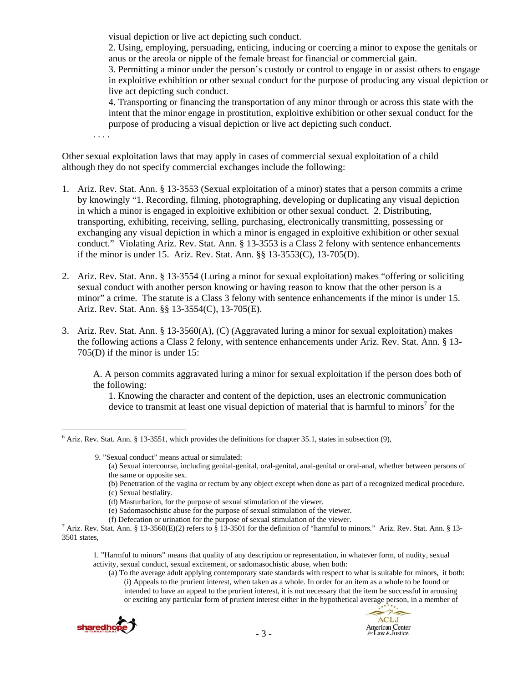visual depiction or live act depicting such conduct.

2. Using, employing, persuading, enticing, inducing or coercing a minor to expose the genitals or anus or the areola or nipple of the female breast for financial or commercial gain.

3. Permitting a minor under the person's custody or control to engage in or assist others to engage in exploitive exhibition or other sexual conduct for the purpose of producing any visual depiction or live act depicting such conduct.

4. Transporting or financing the transportation of any minor through or across this state with the intent that the minor engage in prostitution, exploitive exhibition or other sexual conduct for the purpose of producing a visual depiction or live act depicting such conduct.

. . . .

Other sexual exploitation laws that may apply in cases of commercial sexual exploitation of a child although they do not specify commercial exchanges include the following:

- 1. Ariz. Rev. Stat. Ann. § 13-3553 (Sexual exploitation of a minor) states that a person commits a crime by knowingly "1. Recording, filming, photographing, developing or duplicating any visual depiction in which a minor is engaged in exploitive exhibition or other sexual conduct. 2. Distributing, transporting, exhibiting, receiving, selling, purchasing, electronically transmitting, possessing or exchanging any visual depiction in which a minor is engaged in exploitive exhibition or other sexual conduct." Violating Ariz. Rev. Stat. Ann. § 13-3553 is a Class 2 felony with sentence enhancements if the minor is under 15. Ariz. Rev. Stat. Ann. §§ 13-3553(C), 13-705(D).
- 2. Ariz. Rev. Stat. Ann. § 13-3554 (Luring a minor for sexual exploitation) makes "offering or soliciting sexual conduct with another person knowing or having reason to know that the other person is a minor" a crime. The statute is a Class 3 felony with sentence enhancements if the minor is under 15. Ariz. Rev. Stat. Ann. §§ 13-3554(C), 13-705(E).
- 3. Ariz. Rev. Stat. Ann. § 13-3560(A), (C) (Aggravated luring a minor for sexual exploitation) makes the following actions a Class 2 felony, with sentence enhancements under Ariz. Rev. Stat. Ann. § 13- 705(D) if the minor is under 15:

A. A person commits aggravated luring a minor for sexual exploitation if the person does both of the following:

1. Knowing the character and content of the depiction, uses an electronic communication device to transmit at least one visual depiction of material that is harmful to minors<sup>7</sup> for the

9. "Sexual conduct" means actual or simulated:

(a) Sexual intercourse, including genital-genital, oral-genital, anal-genital or oral-anal, whether between persons of the same or opposite sex.

<sup>(</sup>a) To the average adult applying contemporary state standards with respect to what is suitable for minors, it both: (i) Appeals to the prurient interest, when taken as a whole. In order for an item as a whole to be found or intended to have an appeal to the prurient interest, it is not necessary that the item be successful in arousing or exciting any particular form of prurient interest either in the hypothetical average person, in a member of



 $\overline{a}$  $<sup>6</sup>$  Ariz. Rev. Stat. Ann. § 13-3551, which provides the definitions for chapter 35.1, states in subsection (9),</sup>

<sup>(</sup>b) Penetration of the vagina or rectum by any object except when done as part of a recognized medical procedure. (c) Sexual bestiality.

<sup>(</sup>d) Masturbation, for the purpose of sexual stimulation of the viewer.

<sup>(</sup>e) Sadomasochistic abuse for the purpose of sexual stimulation of the viewer.

<sup>(</sup>f) Defecation or urination for the purpose of sexual stimulation of the viewer. 7

<sup>&</sup>lt;sup>7</sup> Ariz. Rev. Stat. Ann. § 13-3560(E)(2) refers to § 13-3501 for the definition of "harmful to minors." Ariz. Rev. Stat. Ann. § 13-3501 states,

<sup>1. &</sup>quot;Harmful to minors" means that quality of any description or representation, in whatever form, of nudity, sexual activity, sexual conduct, sexual excitement, or sadomasochistic abuse, when both: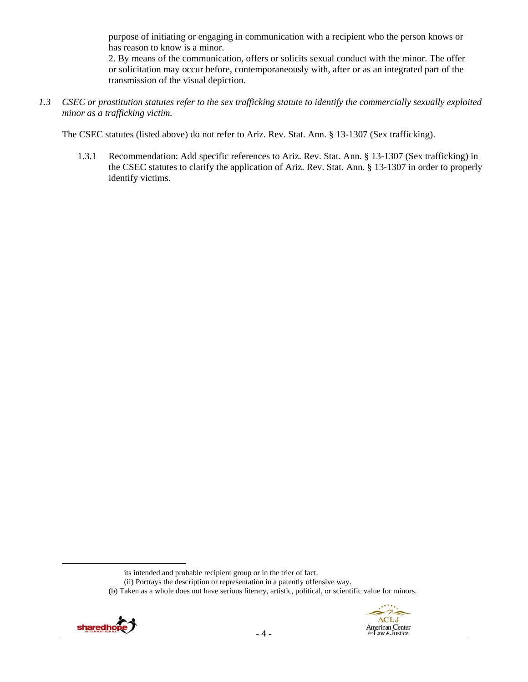purpose of initiating or engaging in communication with a recipient who the person knows or has reason to know is a minor.

2. By means of the communication, offers or solicits sexual conduct with the minor. The offer or solicitation may occur before, contemporaneously with, after or as an integrated part of the transmission of the visual depiction.

*1.3 CSEC or prostitution statutes refer to the sex trafficking statute to identify the commercially sexually exploited minor as a trafficking victim.* 

The CSEC statutes (listed above) do not refer to Ariz. Rev. Stat. Ann. § 13-1307 (Sex trafficking).

1.3.1 Recommendation: Add specific references to Ariz. Rev. Stat. Ann. § 13-1307 (Sex trafficking) in the CSEC statutes to clarify the application of Ariz. Rev. Stat. Ann. § 13-1307 in order to properly identify victims.

<sup>(</sup>b) Taken as a whole does not have serious literary, artistic, political, or scientific value for minors.





its intended and probable recipient group or in the trier of fact.

<sup>(</sup>ii) Portrays the description or representation in a patently offensive way.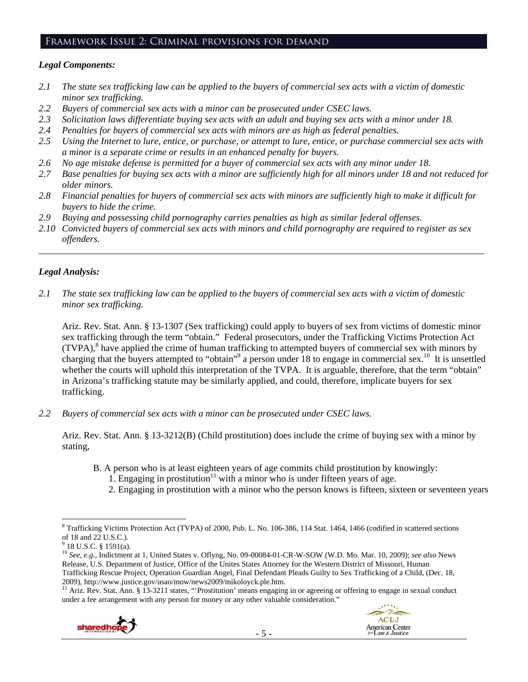## Framework Issue 2: Criminal provisions for demand

#### *Legal Components:*

- *2.1 The state sex trafficking law can be applied to the buyers of commercial sex acts with a victim of domestic minor sex trafficking.*
- *2.2 Buyers of commercial sex acts with a minor can be prosecuted under CSEC laws.*
- *2.3 Solicitation laws differentiate buying sex acts with an adult and buying sex acts with a minor under 18.*
- *2.4 Penalties for buyers of commercial sex acts with minors are as high as federal penalties.*
- *2.5 Using the Internet to lure, entice, or purchase, or attempt to lure, entice, or purchase commercial sex acts with a minor is a separate crime or results in an enhanced penalty for buyers.*
- *2.6 No age mistake defense is permitted for a buyer of commercial sex acts with any minor under 18.*
- *2.7 Base penalties for buying sex acts with a minor are sufficiently high for all minors under 18 and not reduced for older minors.*
- *2.8 Financial penalties for buyers of commercial sex acts with minors are sufficiently high to make it difficult for buyers to hide the crime.*
- *2.9 Buying and possessing child pornography carries penalties as high as similar federal offenses.*
- *2.10 Convicted buyers of commercial sex acts with minors and child pornography are required to register as sex offenders.*

\_\_\_\_\_\_\_\_\_\_\_\_\_\_\_\_\_\_\_\_\_\_\_\_\_\_\_\_\_\_\_\_\_\_\_\_\_\_\_\_\_\_\_\_\_\_\_\_\_\_\_\_\_\_\_\_\_\_\_\_\_\_\_\_\_\_\_\_\_\_\_\_\_\_\_\_\_\_\_\_\_\_\_\_\_\_\_\_\_\_\_\_\_\_

# *Legal Analysis:*

*2.1 The state sex trafficking law can be applied to the buyers of commercial sex acts with a victim of domestic minor sex trafficking.* 

Ariz. Rev. Stat. Ann. § 13-1307 (Sex trafficking) could apply to buyers of sex from victims of domestic minor sex trafficking through the term "obtain." Federal prosecutors, under the Trafficking Victims Protection Act (TVPA),<sup>8</sup> have applied the crime of human trafficking to attempted buyers of commercial sex with minors by charging that the buyers attempted to "obtain"<sup>9</sup> a person under 18 to engage in commercial sex.<sup>10</sup> It is unsettled whether the courts will uphold this interpretation of the TVPA. It is arguable, therefore, that the term "obtain" in Arizona's trafficking statute may be similarly applied, and could, therefore, implicate buyers for sex trafficking.

*2.2 Buyers of commercial sex acts with a minor can be prosecuted under CSEC laws.* 

Ariz. Rev. Stat. Ann. § 13-3212(B) (Child prostitution) does include the crime of buying sex with a minor by stating,

- B. A person who is at least eighteen years of age commits child prostitution by knowingly:
	- 1. Engaging in prostitution<sup>11</sup> with a minor who is under fifteen years of age.
	- 2. Engaging in prostitution with a minor who the person knows is fifteen, sixteen or seventeen years

under a fee arrangement with any person for money or any other valuable consideration."



 $\overline{a}$ <sup>8</sup> Trafficking Victims Protection Act (TVPA) of 2000, Pub. L. No. 106-386, 114 Stat. 1464, 1466 (codified in scattered sections of 18 and 22 U.S.C.).

 $9$  18 U.S.C. § 1591(a).

<sup>10</sup> *See, e.g*., Indictment at 1, United States v. Oflyng, No. 09-00084-01-CR-W-SOW (W.D. Mo. Mar. 10, 2009); *see also* News Release, U.S. Department of Justice, Office of the Unites States Attorney for the Western District of Missouri, Human Trafficking Rescue Project, Operation Guardian Angel, Final Defendant Pleads Guilty to Sex Trafficking of a Child, (Dec. 18, 2009), http://www.justice.gov/usao/mow/news2009/mikoloyck.ple.htm.<br><sup>11</sup> Ariz. Rev. Stat. Ann. § 13-3211 states, "'Prostitution' means engaging in or agreeing or offering to engage in sexual conduct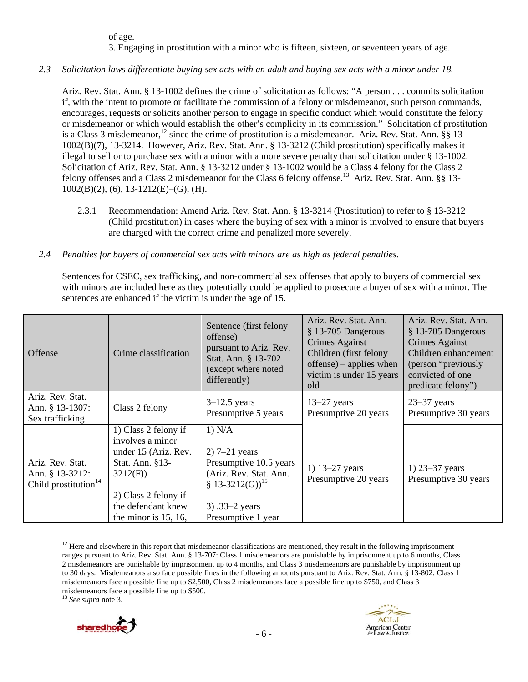of age.

3. Engaging in prostitution with a minor who is fifteen, sixteen, or seventeen years of age.

*2.3 Solicitation laws differentiate buying sex acts with an adult and buying sex acts with a minor under 18.* 

Ariz. Rev. Stat. Ann. § 13-1002 defines the crime of solicitation as follows: "A person . . . commits solicitation if, with the intent to promote or facilitate the commission of a felony or misdemeanor, such person commands, encourages, requests or solicits another person to engage in specific conduct which would constitute the felony or misdemeanor or which would establish the other's complicity in its commission." Solicitation of prostitution is a Class 3 misdemeanor,<sup>12</sup> since the crime of prostitution is a misdemeanor. Ariz. Rev. Stat. Ann. §§ 13-1002(B)(7), 13-3214. However, Ariz. Rev. Stat. Ann. § 13-3212 (Child prostitution) specifically makes it illegal to sell or to purchase sex with a minor with a more severe penalty than solicitation under § 13-1002. Solicitation of Ariz. Rev. Stat. Ann. § 13-3212 under § 13-1002 would be a Class 4 felony for the Class 2 felony offenses and a Class 2 misdemeanor for the Class 6 felony offense.<sup>13</sup> Ariz. Rev. Stat. Ann. §§ 13-1002(B)(2), (6), 13-1212(E)–(G), (H).

- 2.3.1 Recommendation: Amend Ariz. Rev. Stat. Ann. § 13-3214 (Prostitution) to refer to § 13-3212 (Child prostitution) in cases where the buying of sex with a minor is involved to ensure that buyers are charged with the correct crime and penalized more severely.
- *2.4 Penalties for buyers of commercial sex acts with minors are as high as federal penalties.*

Sentences for CSEC, sex trafficking, and non-commercial sex offenses that apply to buyers of commercial sex with minors are included here as they potentially could be applied to prosecute a buyer of sex with a minor. The sentences are enhanced if the victim is under the age of 15.

| <b>Offense</b>                                                 | Crime classification                                                                                                                                                    | Sentence (first felony<br>offense)<br>pursuant to Ariz. Rev.<br>Stat. Ann. § 13-702<br>(except where noted<br>differently)                              | Ariz. Rev. Stat. Ann.<br>§ 13-705 Dangerous<br>Crimes Against<br>Children (first felony<br>$offense$ ) – applies when<br>victim is under 15 years<br>old | Ariz. Rev. Stat. Ann.<br>§ 13-705 Dangerous<br>Crimes Against<br>Children enhancement<br>(person "previously")<br>convicted of one<br>predicate felony") |
|----------------------------------------------------------------|-------------------------------------------------------------------------------------------------------------------------------------------------------------------------|---------------------------------------------------------------------------------------------------------------------------------------------------------|----------------------------------------------------------------------------------------------------------------------------------------------------------|----------------------------------------------------------------------------------------------------------------------------------------------------------|
| Ariz. Rev. Stat.<br>Ann. § 13-1307:<br>Sex trafficking         | Class 2 felony                                                                                                                                                          | $3-12.5$ years<br>Presumptive 5 years                                                                                                                   | $13-27$ years<br>Presumptive 20 years                                                                                                                    | $23-37$ years<br>Presumptive 30 years                                                                                                                    |
| Ariz. Rev. Stat.<br>Ann. § 13-3212:<br>Child prostitution $14$ | 1) Class 2 felony if<br>involves a minor<br>under 15 (Ariz. Rev.<br>Stat. Ann. §13-<br>3212(F)<br>2) Class 2 felony if<br>the defendant knew<br>the minor is $15, 16$ , | 1) N/A<br>$2)$ 7–21 years<br>Presumptive 10.5 years<br>(Ariz. Rev. Stat. Ann.<br>§ $13-3212(G)$ <sup>15</sup><br>3) $.33-2$ years<br>Presumptive 1 year | 1) $13-27$ years<br>Presumptive 20 years                                                                                                                 | 1) $23 - 37$ years<br>Presumptive 30 years                                                                                                               |

 $12$  Here and elsewhere in this report that misdemeanor classifications are mentioned, they result in the following imprisonment ranges pursuant to Ariz. Rev. Stat. Ann. § 13-707: Class 1 misdemeanors are punishable by imprisonment up to 6 months, Class 2 misdemeanors are punishable by imprisonment up to 4 months, and Class 3 misdemeanors are punishable by imprisonment up to 30 days. Misdemeanors also face possible fines in the following amounts pursuant to Ariz. Rev. Stat. Ann. § 13-802: Class 1 misdemeanors face a possible fine up to \$2,500, Class 2 misdemeanors face a possible fine up to \$750, and Class 3 misdemeanors face a possible fine up to \$500.





<sup>13</sup> *See supra* note 3.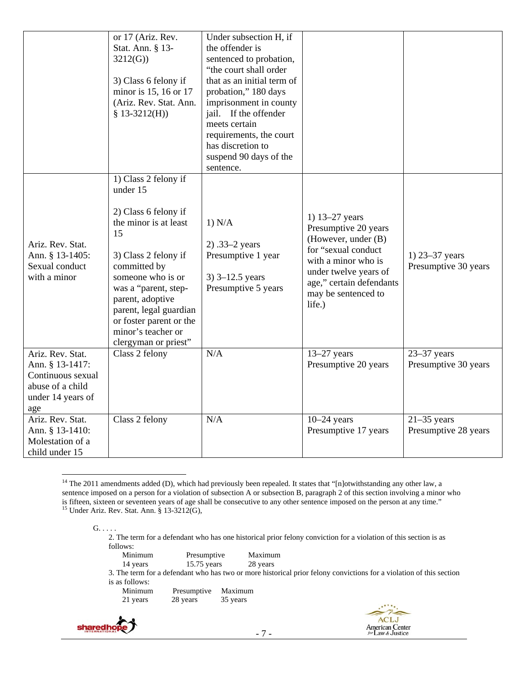|                                                                                                          | or 17 (Ariz. Rev.<br>Stat. Ann. § 13-<br>3212(G)<br>3) Class 6 felony if<br>minor is 15, 16 or 17<br>(Ariz. Rev. Stat. Ann.<br>$$13-3212(H))$                                                                                                                                                       | Under subsection H, if<br>the offender is<br>sentenced to probation,<br>"the court shall order<br>that as an initial term of<br>probation," 180 days<br>imprisonment in county<br>jail. If the offender<br>meets certain<br>requirements, the court<br>has discretion to<br>suspend 90 days of the<br>sentence. |                                                                                                                                                                                                   |                                            |
|----------------------------------------------------------------------------------------------------------|-----------------------------------------------------------------------------------------------------------------------------------------------------------------------------------------------------------------------------------------------------------------------------------------------------|-----------------------------------------------------------------------------------------------------------------------------------------------------------------------------------------------------------------------------------------------------------------------------------------------------------------|---------------------------------------------------------------------------------------------------------------------------------------------------------------------------------------------------|--------------------------------------------|
| Ariz. Rev. Stat.<br>Ann. § 13-1405:<br>Sexual conduct<br>with a minor                                    | 1) Class 2 felony if<br>under 15<br>2) Class 6 felony if<br>the minor is at least<br>15<br>3) Class 2 felony if<br>committed by<br>someone who is or<br>was a "parent, step-<br>parent, adoptive<br>parent, legal guardian<br>or foster parent or the<br>minor's teacher or<br>clergyman or priest" | 1) N/A<br>$2)$ .33–2 years<br>Presumptive 1 year<br>3) $3 - 12.5$ years<br>Presumptive 5 years                                                                                                                                                                                                                  | 1) 13-27 years<br>Presumptive 20 years<br>(However, under (B)<br>for "sexual conduct<br>with a minor who is<br>under twelve years of<br>age," certain defendants<br>may be sentenced to<br>life.) | 1) $23 - 37$ years<br>Presumptive 30 years |
| Ariz. Rev. Stat.<br>Ann. § 13-1417:<br>Continuous sexual<br>abuse of a child<br>under 14 years of<br>age | Class 2 felony                                                                                                                                                                                                                                                                                      | N/A                                                                                                                                                                                                                                                                                                             | $13-27$ years<br>Presumptive 20 years                                                                                                                                                             | $23-37$ years<br>Presumptive 30 years      |
| Ariz. Rev. Stat.<br>Ann. § 13-1410:<br>Molestation of a<br>child under 15                                | Class 2 felony                                                                                                                                                                                                                                                                                      | N/A                                                                                                                                                                                                                                                                                                             | $10-24$ years<br>Presumptive 17 years                                                                                                                                                             | $21-35$ years<br>Presumptive 28 years      |

<sup>&</sup>lt;sup>14</sup> The 2011 amendments added (D), which had previously been repealed. It states that "[n]otwithstanding any other law, a sentence imposed on a person for a violation of subsection A or subsection B, paragraph 2 of this section involving a minor who is fifteen, sixteen or seventeen years of age shall be consecutive to any other sentence imposed on the person at any time."<br><sup>15</sup> Under Ariz. Rev. Stat. Ann. § 13-3212(G),

<sup>2.</sup> The term for a defendant who has one historical prior felony conviction for a violation of this section is as  $f_0$ llows

| TOITOWS.       |               |          |                                                                                                                     |
|----------------|---------------|----------|---------------------------------------------------------------------------------------------------------------------|
| Minimum        | Presumptive   | Maximum  |                                                                                                                     |
| 14 years       | $15.75$ years | 28 years |                                                                                                                     |
|                |               |          | 3. The term for a defendant who has two or more historical prior felony convictions for a violation of this section |
| is as follows: |               |          |                                                                                                                     |
| Minimum        | Presumptive   | Maximum  |                                                                                                                     |
| 21 years       | 28 years      | 35 years |                                                                                                                     |
|                |               |          | $-1111$                                                                                                             |



 $G. \ldots$ .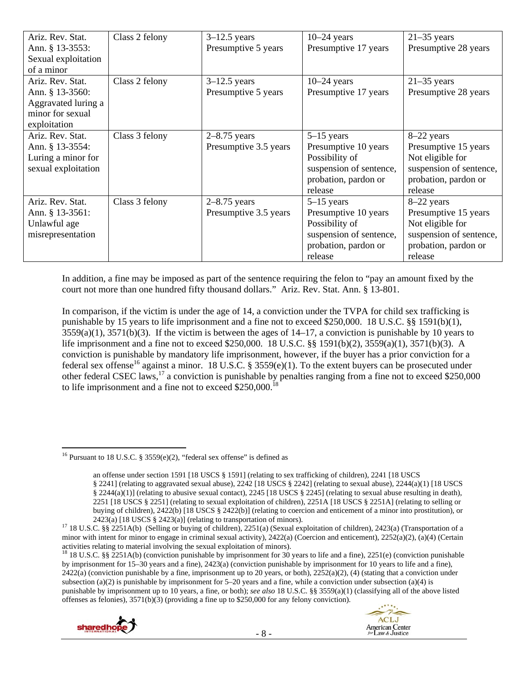| Ariz. Rev. Stat.<br>Ann. § 13-3553: | Class 2 felony | $3-12.5$ years<br>Presumptive 5 years | $10-24$ years<br>Presumptive 17 years | $21-35$ years<br>Presumptive 28 years |
|-------------------------------------|----------------|---------------------------------------|---------------------------------------|---------------------------------------|
| Sexual exploitation                 |                |                                       |                                       |                                       |
| of a minor                          |                |                                       |                                       |                                       |
| Ariz. Rev. Stat.                    | Class 2 felony | $3-12.5$ years                        | $10-24$ years                         | $21-35$ years                         |
| Ann. § 13-3560:                     |                | Presumptive 5 years                   | Presumptive 17 years                  | Presumptive 28 years                  |
| Aggravated luring a                 |                |                                       |                                       |                                       |
| minor for sexual                    |                |                                       |                                       |                                       |
| exploitation                        |                |                                       |                                       |                                       |
| Ariz. Rev. Stat.                    | Class 3 felony | $2-8.75$ years                        | $5-15$ years                          | 8-22 years                            |
| Ann. § 13-3554:                     |                | Presumptive 3.5 years                 | Presumptive 10 years                  | Presumptive 15 years                  |
| Luring a minor for                  |                |                                       | Possibility of                        | Not eligible for                      |
| sexual exploitation                 |                |                                       | suspension of sentence,               | suspension of sentence,               |
|                                     |                |                                       | probation, pardon or                  | probation, pardon or                  |
|                                     |                |                                       | release                               | release                               |
| Ariz. Rev. Stat.                    | Class 3 felony | $2-8.75$ years                        | $5-15$ years                          | 8–22 years                            |
| Ann. § 13-3561:                     |                | Presumptive 3.5 years                 | Presumptive 10 years                  | Presumptive 15 years                  |
| Unlawful age                        |                |                                       | Possibility of                        | Not eligible for                      |
| misrepresentation                   |                |                                       | suspension of sentence,               | suspension of sentence,               |
|                                     |                |                                       | probation, pardon or                  | probation, pardon or                  |
|                                     |                |                                       | release                               | release                               |

In addition, a fine may be imposed as part of the sentence requiring the felon to "pay an amount fixed by the court not more than one hundred fifty thousand dollars." Ariz. Rev. Stat. Ann. § 13-801.

In comparison, if the victim is under the age of 14, a conviction under the TVPA for child sex trafficking is punishable by 15 years to life imprisonment and a fine not to exceed \$250,000. 18 U.S.C. §§ 1591(b)(1),  $3559(a)(1)$ ,  $3571(b)(3)$ . If the victim is between the ages of  $14-17$ , a conviction is punishable by 10 years to life imprisonment and a fine not to exceed \$250,000. 18 U.S.C. §§ 1591(b)(2), 3559(a)(1), 3571(b)(3). A conviction is punishable by mandatory life imprisonment, however, if the buyer has a prior conviction for a federal sex offense<sup>16</sup> against a minor. 18 U.S.C. § 3559(e)(1). To the extent buyers can be prosecuted under other federal CSEC laws,17 a conviction is punishable by penalties ranging from a fine not to exceed \$250,000 to life imprisonment and a fine not to exceed  $$250,000$ .<sup>1</sup>

<sup>&</sup>lt;sup>18</sup> 18 U.S.C. §§ 2251A(b) (conviction punishable by imprisonment for 30 years to life and a fine), 2251(e) (conviction punishable by imprisonment for 15–30 years and a fine), 2423(a) (conviction punishable by imprisonment for 10 years to life and a fine),  $2422(a)$  (conviction punishable by a fine, imprisonment up to 20 years, or both),  $2252(a)(2)$ , (4) (stating that a conviction under subsection (a)(2) is punishable by imprisonment for  $5-20$  years and a fine, while a conviction under subsection (a)(4) is punishable by imprisonment up to 10 years, a fine, or both); *see also* 18 U.S.C. §§ 3559(a)(1) (classifying all of the above listed offenses as felonies), 3571(b)(3) (providing a fine up to \$250,000 for any felony conviction).



<sup>&</sup>lt;sup>16</sup> Pursuant to 18 U.S.C. § 3559(e)(2), "federal sex offense" is defined as

an offense under section 1591 [18 USCS § 1591] (relating to sex trafficking of children), 2241 [18 USCS § 2241] (relating to aggravated sexual abuse), 2242 [18 USCS § 2242] (relating to sexual abuse), 2244(a)(1) [18 USCS § 2244(a)(1)] (relating to abusive sexual contact), 2245 [18 USCS § 2245] (relating to sexual abuse resulting in death), 2251 [18 USCS § 2251] (relating to sexual exploitation of children), 2251A [18 USCS § 2251A] (relating to selling or buying of children), 2422(b) [18 USCS § 2422(b)] (relating to coercion and enticement of a minor into prostitution), or

<sup>2423(</sup>a) [18 USCS § 2423(a)] (relating to transportation of minors).<br><sup>17</sup> 18 U.S.C. §§ 2251A(b) (Selling or buying of children), 2251(a) (Sexual exploitation of children), 2423(a) (Transportation of a minor with intent for minor to engage in criminal sexual activity), 2422(a) (Coercion and enticement), 2252(a)(2), (a)(4) (Certain activities relating to material involving the sexual exploitation of minors).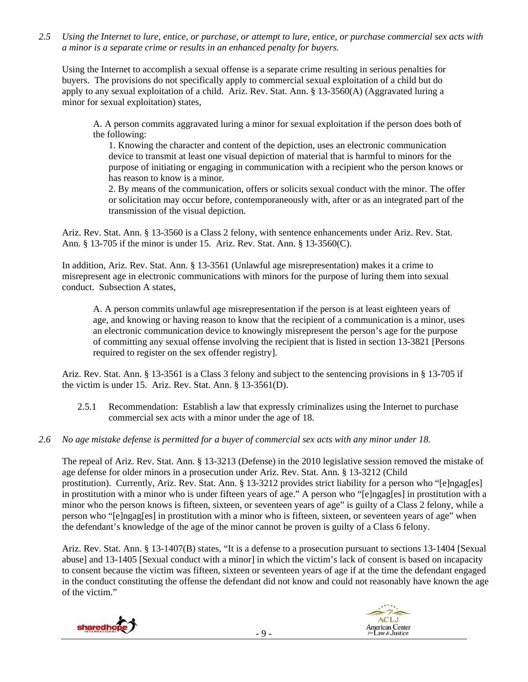*2.5 Using the Internet to lure, entice, or purchase, or attempt to lure, entice, or purchase commercial sex acts with a minor is a separate crime or results in an enhanced penalty for buyers.* 

Using the Internet to accomplish a sexual offense is a separate crime resulting in serious penalties for buyers. The provisions do not specifically apply to commercial sexual exploitation of a child but do apply to any sexual exploitation of a child. Ariz. Rev. Stat. Ann. § 13-3560(A) (Aggravated luring a minor for sexual exploitation) states,

A. A person commits aggravated luring a minor for sexual exploitation if the person does both of the following:

1. Knowing the character and content of the depiction, uses an electronic communication device to transmit at least one visual depiction of material that is harmful to minors for the purpose of initiating or engaging in communication with a recipient who the person knows or has reason to know is a minor.

2. By means of the communication, offers or solicits sexual conduct with the minor. The offer or solicitation may occur before, contemporaneously with, after or as an integrated part of the transmission of the visual depiction.

Ariz. Rev. Stat. Ann. § 13-3560 is a Class 2 felony, with sentence enhancements under Ariz. Rev. Stat. Ann. § 13-705 if the minor is under 15. Ariz. Rev. Stat. Ann. § 13-3560(C).

In addition, Ariz. Rev. Stat. Ann. § 13-3561 (Unlawful age misrepresentation) makes it a crime to misrepresent age in electronic communications with minors for the purpose of luring them into sexual conduct. Subsection A states,

A. A person commits unlawful age misrepresentation if the person is at least eighteen years of age, and knowing or having reason to know that the recipient of a communication is a minor, uses an electronic communication device to knowingly misrepresent the person's age for the purpose of committing any sexual offense involving the recipient that is listed in section 13-3821 [Persons required to register on the sex offender registry].

Ariz. Rev. Stat. Ann. § 13-3561 is a Class 3 felony and subject to the sentencing provisions in § 13-705 if the victim is under 15. Ariz. Rev. Stat. Ann. § 13-3561(D).

- 2.5.1 Recommendation: Establish a law that expressly criminalizes using the Internet to purchase commercial sex acts with a minor under the age of 18.
- *2.6 No age mistake defense is permitted for a buyer of commercial sex acts with any minor under 18.*

The repeal of Ariz. Rev. Stat. Ann. § 13-3213 (Defense) in the 2010 legislative session removed the mistake of age defense for older minors in a prosecution under Ariz. Rev. Stat. Ann. § 13-3212 (Child prostitution). Currently, Ariz. Rev. Stat. Ann. § 13-3212 provides strict liability for a person who "[e]ngag[es] in prostitution with a minor who is under fifteen years of age." A person who "[e]ngag[es] in prostitution with a minor who the person knows is fifteen, sixteen, or seventeen years of age" is guilty of a Class 2 felony, while a person who "[e]ngag[es] in prostitution with a minor who is fifteen, sixteen, or seventeen years of age" when the defendant's knowledge of the age of the minor cannot be proven is guilty of a Class 6 felony.

Ariz. Rev. Stat. Ann. § 13-1407(B) states, "It is a defense to a prosecution pursuant to sections 13-1404 [Sexual abuse] and 13-1405 [Sexual conduct with a minor] in which the victim's lack of consent is based on incapacity to consent because the victim was fifteen, sixteen or seventeen years of age if at the time the defendant engaged in the conduct constituting the offense the defendant did not know and could not reasonably have known the age of the victim."



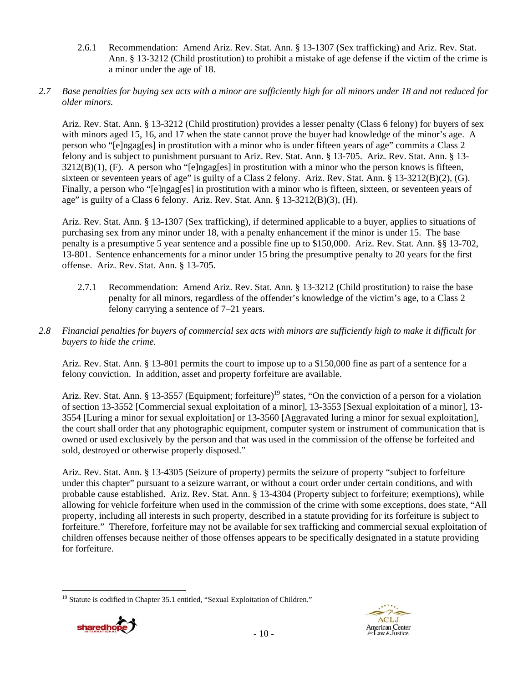2.6.1 Recommendation: Amend Ariz. Rev. Stat. Ann. § 13-1307 (Sex trafficking) and Ariz. Rev. Stat. Ann. § 13-3212 (Child prostitution) to prohibit a mistake of age defense if the victim of the crime is a minor under the age of 18.

## *2.7 Base penalties for buying sex acts with a minor are sufficiently high for all minors under 18 and not reduced for older minors.*

Ariz. Rev. Stat. Ann. § 13-3212 (Child prostitution) provides a lesser penalty (Class 6 felony) for buyers of sex with minors aged 15, 16, and 17 when the state cannot prove the buyer had knowledge of the minor's age. A person who "[e]ngag[es] in prostitution with a minor who is under fifteen years of age" commits a Class 2 felony and is subject to punishment pursuant to Ariz. Rev. Stat. Ann. § 13-705. Ariz. Rev. Stat. Ann. § 13-  $3212(B)(1)$ , (F). A person who "[e]ngag[es] in prostitution with a minor who the person knows is fifteen, sixteen or seventeen years of age" is guilty of a Class 2 felony. Ariz. Rev. Stat. Ann. § 13-3212(B)(2), (G). Finally, a person who "[e]ngag[es] in prostitution with a minor who is fifteen, sixteen, or seventeen years of age" is guilty of a Class 6 felony. Ariz. Rev. Stat. Ann. § 13-3212(B)(3), (H).

Ariz. Rev. Stat. Ann. § 13-1307 (Sex trafficking), if determined applicable to a buyer, applies to situations of purchasing sex from any minor under 18, with a penalty enhancement if the minor is under 15. The base penalty is a presumptive 5 year sentence and a possible fine up to \$150,000. Ariz. Rev. Stat. Ann. §§ 13-702, 13-801. Sentence enhancements for a minor under 15 bring the presumptive penalty to 20 years for the first offense. Ariz. Rev. Stat. Ann. § 13-705.

- 2.7.1 Recommendation: Amend Ariz. Rev. Stat. Ann. § 13-3212 (Child prostitution) to raise the base penalty for all minors, regardless of the offender's knowledge of the victim's age, to a Class 2 felony carrying a sentence of 7–21 years.
- *2.8 Financial penalties for buyers of commercial sex acts with minors are sufficiently high to make it difficult for buyers to hide the crime.*

Ariz. Rev. Stat. Ann. § 13-801 permits the court to impose up to a \$150,000 fine as part of a sentence for a felony conviction. In addition, asset and property forfeiture are available.

Ariz. Rev. Stat. Ann. § 13-3557 (Equipment; forfeiture)<sup>19</sup> states, "On the conviction of a person for a violation of section 13-3552 [Commercial sexual exploitation of a minor], 13-3553 [Sexual exploitation of a minor], 13- 3554 [Luring a minor for sexual exploitation] or 13-3560 [Aggravated luring a minor for sexual exploitation], the court shall order that any photographic equipment, computer system or instrument of communication that is owned or used exclusively by the person and that was used in the commission of the offense be forfeited and sold, destroyed or otherwise properly disposed."

Ariz. Rev. Stat. Ann. § 13-4305 (Seizure of property) permits the seizure of property "subject to forfeiture under this chapter" pursuant to a seizure warrant, or without a court order under certain conditions, and with probable cause established. Ariz. Rev. Stat. Ann. § 13-4304 (Property subject to forfeiture; exemptions), while allowing for vehicle forfeiture when used in the commission of the crime with some exceptions, does state, "All property, including all interests in such property, described in a statute providing for its forfeiture is subject to forfeiture." Therefore, forfeiture may not be available for sex trafficking and commercial sexual exploitation of children offenses because neither of those offenses appears to be specifically designated in a statute providing for forfeiture.

 $\overline{a}$ <sup>19</sup> Statute is codified in Chapter 35.1 entitled, "Sexual Exploitation of Children."



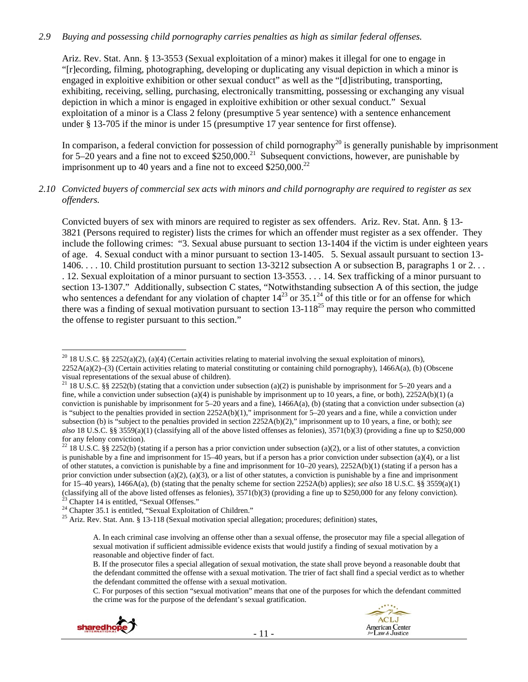## *2.9 Buying and possessing child pornography carries penalties as high as similar federal offenses.*

Ariz. Rev. Stat. Ann. § 13-3553 (Sexual exploitation of a minor) makes it illegal for one to engage in "[r]ecording, filming, photographing, developing or duplicating any visual depiction in which a minor is engaged in exploitive exhibition or other sexual conduct" as well as the "[d]istributing, transporting, exhibiting, receiving, selling, purchasing, electronically transmitting, possessing or exchanging any visual depiction in which a minor is engaged in exploitive exhibition or other sexual conduct." Sexual exploitation of a minor is a Class 2 felony (presumptive 5 year sentence) with a sentence enhancement under § 13-705 if the minor is under 15 (presumptive 17 year sentence for first offense).

In comparison, a federal conviction for possession of child pornography<sup>20</sup> is generally punishable by imprisonment for 5–20 years and a fine not to exceed  $$250,000.<sup>21</sup>$  Subsequent convictions, however, are punishable by imprisonment up to 40 years and a fine not to exceed  $$250,000.<sup>22</sup>$ 

## *2.10 Convicted buyers of commercial sex acts with minors and child pornography are required to register as sex offenders.*

Convicted buyers of sex with minors are required to register as sex offenders. Ariz. Rev. Stat. Ann. § 13- 3821 (Persons required to register) lists the crimes for which an offender must register as a sex offender. They include the following crimes: "3. Sexual abuse pursuant to section 13-1404 if the victim is under eighteen years of age. 4. Sexual conduct with a minor pursuant to section 13-1405. 5. Sexual assault pursuant to section 13- 1406. . . . 10. Child prostitution pursuant to section 13-3212 subsection A or subsection B, paragraphs 1 or 2. . . . 12. Sexual exploitation of a minor pursuant to section 13-3553. . . . 14. Sex trafficking of a minor pursuant to section 13-1307." Additionally, subsection C states, "Notwithstanding subsection A of this section, the judge who sentences a defendant for any violation of chapter  $14^{23}$  or  $35.1^{24}$  of this title or for an offense for which there was a finding of sexual motivation pursuant to section  $13-118^{25}$  may require the person who committed the offense to register pursuant to this section."

C. For purposes of this section "sexual motivation" means that one of the purposes for which the defendant committed the crime was for the purpose of the defendant's sexual gratification.





 $\overline{a}$ <sup>20</sup> 18 U.S.C. §§ 2252(a)(2), (a)(4) (Certain activities relating to material involving the sexual exploitation of minors), 2252A(a)(2)–(3) (Certain activities relating to material constituting or containing child pornography), 1466A(a), (b) (Obscene visual representations of the sexual abuse of children).

<sup>&</sup>lt;sup>21</sup> 18 U.S.C. §§ 2252(b) (stating that a conviction under subsection (a)(2) is punishable by imprisonment for 5–20 years and a fine, while a conviction under subsection (a)(4) is punishable by imprisonment up to 10 years, a fine, or both),  $2252A(b)(1)$  (a conviction is punishable by imprisonment for  $5-20$  years and a fine),  $1466A(a)$ , (b) (stating that a conviction under subsection (a) is "subject to the penalties provided in section 2252A(b)(1)," imprisonment for 5–20 years and a fine, while a conviction under subsection (b) is "subject to the penalties provided in section 2252A(b)(2)," imprisonment up to 10 years, a fine, or both); *see also* 18 U.S.C. §§ 3559(a)(1) (classifying all of the above listed offenses as felonies), 3571(b)(3) (providing a fine up to \$250,000 for any felony conviction).

<sup>&</sup>lt;sup>22</sup> 18 U.S.C. §§ 2252(b) (stating if a person has a prior conviction under subsection (a)(2), or a list of other statutes, a conviction is punishable by a fine and imprisonment for 15–40 years, but if a person has a prior conviction under subsection (a)(4), or a list of other statutes, a conviction is punishable by a fine and imprisonment for  $10-20$  years),  $2252A(b)(1)$  (stating if a person has a prior conviction under subsection (a)(2), (a)(3), or a list of other statutes, a conviction is punishable by a fine and imprisonment for 15–40 years), 1466A(a), (b) (stating that the penalty scheme for section 2252A(b) applies); *see also* 18 U.S.C. §§ 3559(a)(1) (classifying all of the above listed offenses as felonies),  $3571(b)(3)$  (providing a fine up to \$250,000 for any felony conviction).<br><sup>23</sup> Chapter 14 is entitled, "Sexual Offenses."

<sup>&</sup>lt;sup>24</sup> Chapter 35.1 is entitled, "Sexual Exploitation of Children."

<sup>&</sup>lt;sup>25</sup> Ariz. Rev. Stat. Ann. § 13-118 (Sexual motivation special allegation; procedures; definition) states,

A. In each criminal case involving an offense other than a sexual offense, the prosecutor may file a special allegation of sexual motivation if sufficient admissible evidence exists that would justify a finding of sexual motivation by a reasonable and objective finder of fact.

B. If the prosecutor files a special allegation of sexual motivation, the state shall prove beyond a reasonable doubt that the defendant committed the offense with a sexual motivation. The trier of fact shall find a special verdict as to whether the defendant committed the offense with a sexual motivation.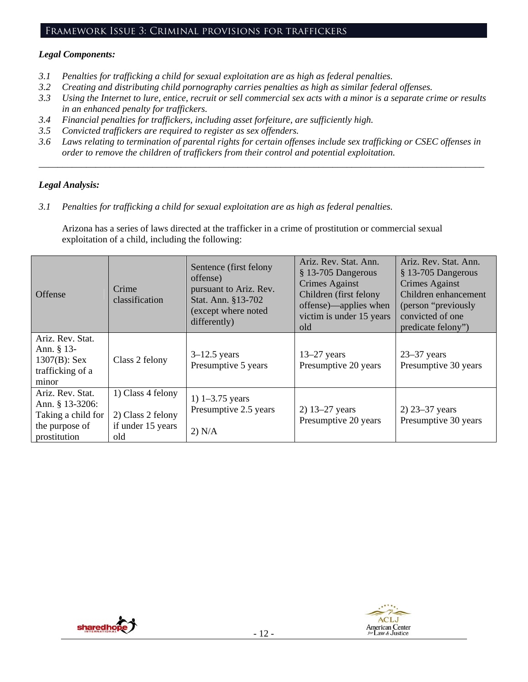# Framework Issue 3: Criminal provisions for traffickers

# *Legal Components:*

- *3.1 Penalties for trafficking a child for sexual exploitation are as high as federal penalties.*
- *3.2 Creating and distributing child pornography carries penalties as high as similar federal offenses.*
- *3.3 Using the Internet to lure, entice, recruit or sell commercial sex acts with a minor is a separate crime or results in an enhanced penalty for traffickers.*
- *3.4 Financial penalties for traffickers, including asset forfeiture, are sufficiently high.*
- *3.5 Convicted traffickers are required to register as sex offenders.*
- *3.6 Laws relating to termination of parental rights for certain offenses include sex trafficking or CSEC offenses in order to remove the children of traffickers from their control and potential exploitation.*

*\_\_\_\_\_\_\_\_\_\_\_\_\_\_\_\_\_\_\_\_\_\_\_\_\_\_\_\_\_\_\_\_\_\_\_\_\_\_\_\_\_\_\_\_\_\_\_\_\_\_\_\_\_\_\_\_\_\_\_\_\_\_\_\_\_\_\_\_\_\_\_\_\_\_\_\_\_\_\_\_\_\_\_\_\_\_\_\_\_\_\_\_\_\_* 

# *Legal Analysis:*

*3.1 Penalties for trafficking a child for sexual exploitation are as high as federal penalties.* 

Arizona has a series of laws directed at the trafficker in a crime of prostitution or commercial sexual exploitation of a child, including the following:

| Offense                                                                                     | Crime<br>classification                                            | Sentence (first felony<br>offense)<br>pursuant to Ariz. Rev.<br>Stat. Ann. §13-702<br>(except where noted<br>differently) | Ariz. Rev. Stat. Ann.<br>§ 13-705 Dangerous<br>Crimes Against<br>Children (first felony<br>offense)—applies when<br>victim is under 15 years<br>old | Ariz. Rev. Stat. Ann.<br>§ 13-705 Dangerous<br>Crimes Against<br>Children enhancement<br>(person "previously")<br>convicted of one<br>predicate felony") |
|---------------------------------------------------------------------------------------------|--------------------------------------------------------------------|---------------------------------------------------------------------------------------------------------------------------|-----------------------------------------------------------------------------------------------------------------------------------------------------|----------------------------------------------------------------------------------------------------------------------------------------------------------|
| Ariz. Rev. Stat.<br>Ann. $§$ 13-<br>$1307(B)$ : Sex<br>trafficking of a<br>minor            | Class 2 felony                                                     | $3-12.5$ years<br>Presumptive 5 years                                                                                     | $13-27$ years<br>Presumptive 20 years                                                                                                               | $23-37$ years<br>Presumptive 30 years                                                                                                                    |
| Ariz. Rev. Stat.<br>Ann. § 13-3206:<br>Taking a child for<br>the purpose of<br>prostitution | 1) Class 4 felony<br>2) Class 2 felony<br>if under 15 years<br>old | 1) $1 - 3.75$ years<br>Presumptive 2.5 years<br>2) N/A                                                                    | 2) $13-27$ years<br>Presumptive 20 years                                                                                                            | $2)$ 23–37 years<br>Presumptive 30 years                                                                                                                 |



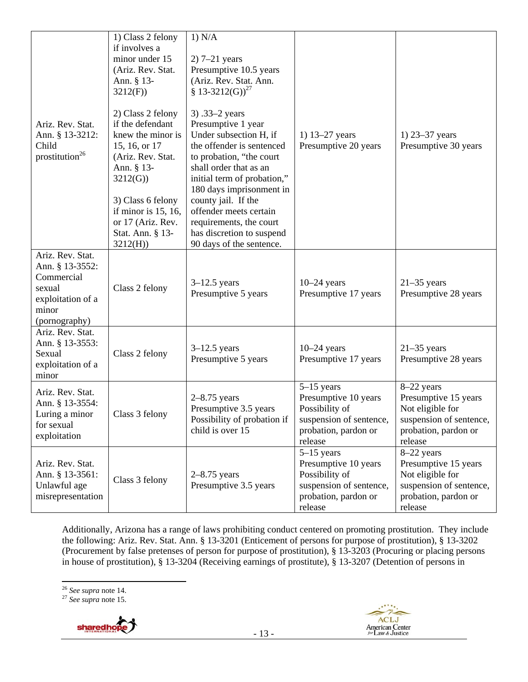| Ariz. Rev. Stat.<br>Ann. § 13-3212:<br>Child<br>prostitution <sup>26</sup>                                 | 1) Class 2 felony<br>if involves a<br>minor under 15<br>(Ariz. Rev. Stat.<br>Ann. § 13-<br>3212(F)<br>2) Class 2 felony<br>if the defendant<br>knew the minor is<br>15, 16, or 17<br>(Ariz. Rev. Stat.<br>Ann. § 13-<br>3212(G)<br>3) Class 6 felony<br>if minor is $15, 16$ ,<br>or 17 (Ariz. Rev.<br>Stat. Ann. § 13-<br>3212(H) | 1) N/A<br>$2)$ 7–21 years<br>Presumptive 10.5 years<br>(Ariz. Rev. Stat. Ann.<br>§ 13-3212(G)) <sup>27</sup><br>3) .33–2 years<br>Presumptive 1 year<br>Under subsection H, if<br>the offender is sentenced<br>to probation, "the court<br>shall order that as an<br>initial term of probation,"<br>180 days imprisonment in<br>county jail. If the<br>offender meets certain<br>requirements, the court<br>has discretion to suspend<br>90 days of the sentence. | 1) $13-27$ years<br>Presumptive 20 years                                                                             | 1) $23 - 37$ years<br>Presumptive 30 years                                                                             |
|------------------------------------------------------------------------------------------------------------|------------------------------------------------------------------------------------------------------------------------------------------------------------------------------------------------------------------------------------------------------------------------------------------------------------------------------------|-------------------------------------------------------------------------------------------------------------------------------------------------------------------------------------------------------------------------------------------------------------------------------------------------------------------------------------------------------------------------------------------------------------------------------------------------------------------|----------------------------------------------------------------------------------------------------------------------|------------------------------------------------------------------------------------------------------------------------|
| Ariz. Rev. Stat.<br>Ann. § 13-3552:<br>Commercial<br>sexual<br>exploitation of a<br>minor<br>(pornography) | Class 2 felony                                                                                                                                                                                                                                                                                                                     | $3-12.5$ years<br>Presumptive 5 years                                                                                                                                                                                                                                                                                                                                                                                                                             | $10-24$ years<br>Presumptive 17 years                                                                                | $21-35$ years<br>Presumptive 28 years                                                                                  |
| Ariz. Rev. Stat.<br>Ann. § 13-3553:<br>Sexual<br>exploitation of a<br>minor                                | Class 2 felony                                                                                                                                                                                                                                                                                                                     | $3-12.5$ years<br>Presumptive 5 years                                                                                                                                                                                                                                                                                                                                                                                                                             | $10-24$ years<br>Presumptive 17 years                                                                                | $21-35$ years<br>Presumptive 28 years                                                                                  |
| Ariz. Rev. Stat.<br>Ann. § 13-3554:<br>Luring a minor<br>for sexual<br>exploitation                        | Class 3 felony                                                                                                                                                                                                                                                                                                                     | $2-8.75$ years<br>Presumptive 3.5 years<br>Possibility of probation if<br>child is over 15                                                                                                                                                                                                                                                                                                                                                                        | $5-15$ years<br>Presumptive 10 years<br>Possibility of<br>suspension of sentence,<br>probation, pardon or<br>release | 8-22 years<br>Presumptive 15 years<br>Not eligible for<br>suspension of sentence,<br>probation, pardon or<br>release   |
| Ariz. Rev. Stat.<br>Ann. § 13-3561:<br>Unlawful age<br>misrepresentation                                   | Class 3 felony                                                                                                                                                                                                                                                                                                                     | $2-8.75$ years<br>Presumptive 3.5 years                                                                                                                                                                                                                                                                                                                                                                                                                           | $5-15$ years<br>Presumptive 10 years<br>Possibility of<br>suspension of sentence,<br>probation, pardon or<br>release | $8-22$ years<br>Presumptive 15 years<br>Not eligible for<br>suspension of sentence,<br>probation, pardon or<br>release |

Additionally, Arizona has a range of laws prohibiting conduct centered on promoting prostitution. They include the following: Ariz. Rev. Stat. Ann. § 13-3201 (Enticement of persons for purpose of prostitution), § 13-3202 (Procurement by false pretenses of person for purpose of prostitution), § 13-3203 (Procuring or placing persons in house of prostitution), § 13-3204 (Receiving earnings of prostitute), § 13-3207 (Detention of persons in

<sup>&</sup>lt;sup>26</sup> *See supra* note 14.<br><sup>27</sup> *See supra* note 15.



 $\overline{a}$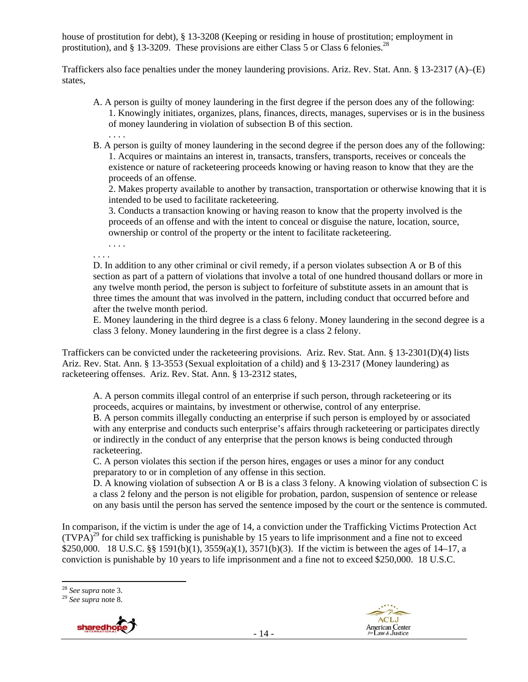house of prostitution for debt), § 13-3208 (Keeping or residing in house of prostitution; employment in prostitution), and  $\S$  13-3209. These provisions are either Class 5 or Class 6 felonies.<sup>28</sup>

Traffickers also face penalties under the money laundering provisions. Ariz. Rev. Stat. Ann. § 13-2317 (A)–(E) states,

- A. A person is guilty of money laundering in the first degree if the person does any of the following: 1. Knowingly initiates, organizes, plans, finances, directs, manages, supervises or is in the business of money laundering in violation of subsection B of this section. . . . .
- B. A person is guilty of money laundering in the second degree if the person does any of the following: 1. Acquires or maintains an interest in, transacts, transfers, transports, receives or conceals the existence or nature of racketeering proceeds knowing or having reason to know that they are the proceeds of an offense.

2. Makes property available to another by transaction, transportation or otherwise knowing that it is intended to be used to facilitate racketeering.

3. Conducts a transaction knowing or having reason to know that the property involved is the proceeds of an offense and with the intent to conceal or disguise the nature, location, source, ownership or control of the property or the intent to facilitate racketeering.

. . . .

. . . .

D. In addition to any other criminal or civil remedy, if a person violates subsection A or B of this section as part of a pattern of violations that involve a total of one hundred thousand dollars or more in any twelve month period, the person is subject to forfeiture of substitute assets in an amount that is three times the amount that was involved in the pattern, including conduct that occurred before and after the twelve month period.

E. Money laundering in the third degree is a class 6 felony. Money laundering in the second degree is a class 3 felony. Money laundering in the first degree is a class 2 felony.

Traffickers can be convicted under the racketeering provisions. Ariz. Rev. Stat. Ann. § 13-2301(D)(4) lists Ariz. Rev. Stat. Ann. § 13-3553 (Sexual exploitation of a child) and § 13-2317 (Money laundering) as racketeering offenses. Ariz. Rev. Stat. Ann. § 13-2312 states,

A. A person commits illegal control of an enterprise if such person, through racketeering or its proceeds, acquires or maintains, by investment or otherwise, control of any enterprise. B. A person commits illegally conducting an enterprise if such person is employed by or associated with any enterprise and conducts such enterprise's affairs through racketeering or participates directly or indirectly in the conduct of any enterprise that the person knows is being conducted through racketeering.

C. A person violates this section if the person hires, engages or uses a minor for any conduct preparatory to or in completion of any offense in this section.

D. A knowing violation of subsection A or B is a class 3 felony. A knowing violation of subsection C is a class 2 felony and the person is not eligible for probation, pardon, suspension of sentence or release on any basis until the person has served the sentence imposed by the court or the sentence is commuted.

In comparison, if the victim is under the age of 14, a conviction under the Trafficking Victims Protection Act  $(TVPA)^{29}$  for child sex trafficking is punishable by 15 years to life imprisonment and a fine not to exceed \$250,000. 18 U.S.C. §§ 1591(b)(1), 3559(a)(1), 3571(b)(3). If the victim is between the ages of 14–17, a conviction is punishable by 10 years to life imprisonment and a fine not to exceed \$250,000. 18 U.S.C.





 $\overline{a}$ <sup>28</sup> *See supra* note 3. 29 *See supra* note 8.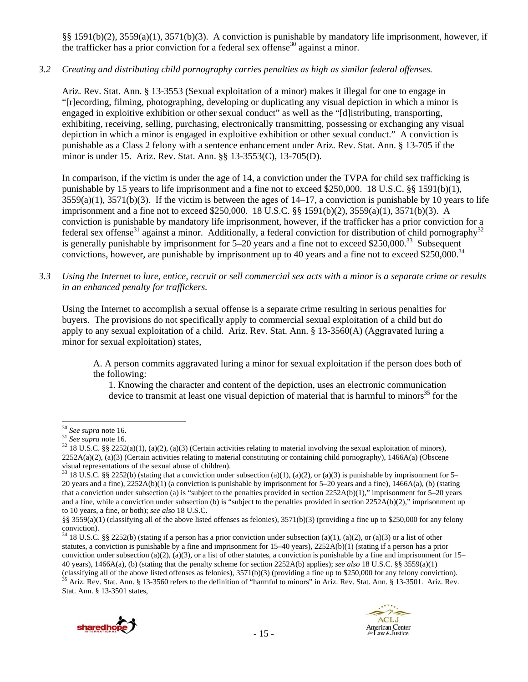§§ 1591(b)(2), 3559(a)(1), 3571(b)(3). A conviction is punishable by mandatory life imprisonment, however, if the trafficker has a prior conviction for a federal sex offense<sup>30</sup> against a minor.

## *3.2 Creating and distributing child pornography carries penalties as high as similar federal offenses.*

Ariz. Rev. Stat. Ann. § 13-3553 (Sexual exploitation of a minor) makes it illegal for one to engage in "[r]ecording, filming, photographing, developing or duplicating any visual depiction in which a minor is engaged in exploitive exhibition or other sexual conduct" as well as the "[d]istributing, transporting, exhibiting, receiving, selling, purchasing, electronically transmitting, possessing or exchanging any visual depiction in which a minor is engaged in exploitive exhibition or other sexual conduct." A conviction is punishable as a Class 2 felony with a sentence enhancement under Ariz. Rev. Stat. Ann. § 13-705 if the minor is under 15. Ariz. Rev. Stat. Ann. §§ 13-3553(C), 13-705(D).

In comparison, if the victim is under the age of 14, a conviction under the TVPA for child sex trafficking is punishable by 15 years to life imprisonment and a fine not to exceed \$250,000. 18 U.S.C. §§ 1591(b)(1),  $3559(a)(1)$ ,  $3571(b)(3)$ . If the victim is between the ages of  $14-17$ , a conviction is punishable by 10 years to life imprisonment and a fine not to exceed \$250,000. 18 U.S.C. §§ 1591(b)(2), 3559(a)(1), 3571(b)(3). A conviction is punishable by mandatory life imprisonment, however, if the trafficker has a prior conviction for a federal sex offense<sup>31</sup> against a minor. Additionally, a federal conviction for distribution of child pornography<sup>32</sup> is generally punishable by imprisonment for  $5-20$  years and a fine not to exceed \$250,000.<sup>33</sup> Subsequent convictions, however, are punishable by imprisonment up to 40 years and a fine not to exceed \$250,000.<sup>34</sup>

*3.3 Using the Internet to lure, entice, recruit or sell commercial sex acts with a minor is a separate crime or results in an enhanced penalty for traffickers.* 

Using the Internet to accomplish a sexual offense is a separate crime resulting in serious penalties for buyers. The provisions do not specifically apply to commercial sexual exploitation of a child but do apply to any sexual exploitation of a child. Ariz. Rev. Stat. Ann. § 13-3560(A) (Aggravated luring a minor for sexual exploitation) states,

A. A person commits aggravated luring a minor for sexual exploitation if the person does both of the following:

1. Knowing the character and content of the depiction, uses an electronic communication device to transmit at least one visual depiction of material that is harmful to minors<sup>35</sup> for the

 $34$  18 U.S.C. §§ 2252(b) (stating if a person has a prior conviction under subsection (a)(1), (a)(2), or (a)(3) or a list of other statutes, a conviction is punishable by a fine and imprisonment for  $15-40$  years),  $2252A(b)(1)$  (stating if a person has a prior conviction under subsection (a)(2), (a)(3), or a list of other statutes, a conviction is punishable by a fine and imprisonment for  $15-$ 40 years), 1466A(a), (b) (stating that the penalty scheme for section 2252A(b) applies); *see also* 18 U.S.C. §§ 3559(a)(1)  $\frac{35}{15}$  Ariz. Rev. Stat. Ann. § 13-3560 refers to the definition of "harmful to minors" in Ariz. Rev. Stat. Ann. § 13-3501. Ariz. Rev. Stat. Ann. § 13-3501 states,



 $30$  See supra note 16.

<sup>&</sup>lt;sup>31</sup> *See supra* note 16. **32** *See supra* note 16.  $\frac{32}{18}$  *U.S.C.* §§ 2252(a)(1), (a)(2), (a)(3) (Certain activities relating to material involving the sexual exploitation of minors),  $2252A(a)(2)$ , (a)(3) (Certain activities relating to material constituting or containing child pornography), 1466A(a) (Obscene visual representations of the sexual abuse of children).

<sup>&</sup>lt;sup>33</sup> 18 U.S.C. §§ 2252(b) (stating that a conviction under subsection (a)(1), (a)(2), or (a)(3) is punishable by imprisonment for 5– 20 years and a fine), 2252A(b)(1) (a conviction is punishable by imprisonment for 5–20 years and a fine), 1466A(a), (b) (stating that a conviction under subsection (a) is "subject to the penalties provided in section 2252A(b)(1)," imprisonment for 5–20 years and a fine, while a conviction under subsection (b) is "subject to the penalties provided in section 2252A(b)(2)," imprisonment up to 10 years, a fine, or both); *see also* 18 U.S.C.

<sup>§§ 3559(</sup>a)(1) (classifying all of the above listed offenses as felonies), 3571(b)(3) (providing a fine up to \$250,000 for any felony conviction).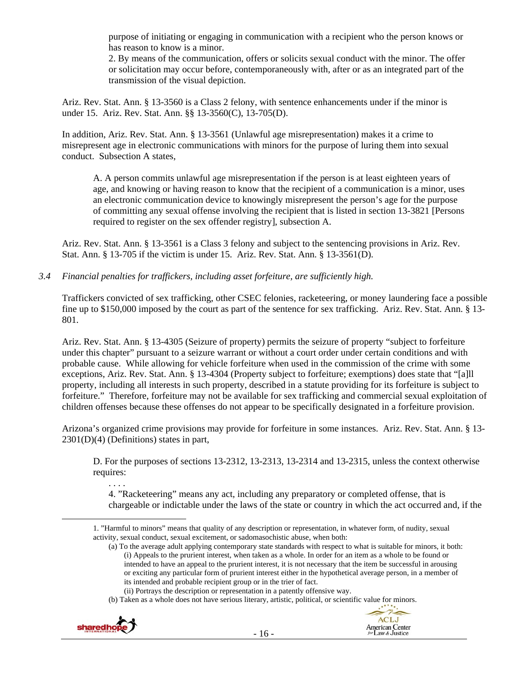purpose of initiating or engaging in communication with a recipient who the person knows or has reason to know is a minor.

2. By means of the communication, offers or solicits sexual conduct with the minor. The offer or solicitation may occur before, contemporaneously with, after or as an integrated part of the transmission of the visual depiction.

Ariz. Rev. Stat. Ann. § 13-3560 is a Class 2 felony, with sentence enhancements under if the minor is under 15. Ariz. Rev. Stat. Ann. §§ 13-3560(C), 13-705(D).

In addition, Ariz. Rev. Stat. Ann. § 13-3561 (Unlawful age misrepresentation) makes it a crime to misrepresent age in electronic communications with minors for the purpose of luring them into sexual conduct. Subsection A states,

A. A person commits unlawful age misrepresentation if the person is at least eighteen years of age, and knowing or having reason to know that the recipient of a communication is a minor, uses an electronic communication device to knowingly misrepresent the person's age for the purpose of committing any sexual offense involving the recipient that is listed in section 13-3821 [Persons required to register on the sex offender registry], subsection A.

Ariz. Rev. Stat. Ann. § 13-3561 is a Class 3 felony and subject to the sentencing provisions in Ariz. Rev. Stat. Ann. § 13-705 if the victim is under 15. Ariz. Rev. Stat. Ann. § 13-3561(D).

*3.4 Financial penalties for traffickers, including asset forfeiture, are sufficiently high.* 

Traffickers convicted of sex trafficking, other CSEC felonies, racketeering, or money laundering face a possible fine up to \$150,000 imposed by the court as part of the sentence for sex trafficking. Ariz. Rev. Stat. Ann. § 13- 801.

Ariz. Rev. Stat. Ann. § 13-4305 (Seizure of property) permits the seizure of property "subject to forfeiture under this chapter" pursuant to a seizure warrant or without a court order under certain conditions and with probable cause. While allowing for vehicle forfeiture when used in the commission of the crime with some exceptions, Ariz. Rev. Stat. Ann. § 13-4304 (Property subject to forfeiture; exemptions) does state that "[a]ll property, including all interests in such property, described in a statute providing for its forfeiture is subject to forfeiture." Therefore, forfeiture may not be available for sex trafficking and commercial sexual exploitation of children offenses because these offenses do not appear to be specifically designated in a forfeiture provision.

Arizona's organized crime provisions may provide for forfeiture in some instances. Ariz. Rev. Stat. Ann. § 13- 2301(D)(4) (Definitions) states in part,

D. For the purposes of sections 13-2312, 13-2313, 13-2314 and 13-2315, unless the context otherwise requires:

. . . .

4. "Racketeering" means any act, including any preparatory or completed offense, that is chargeable or indictable under the laws of the state or country in which the act occurred and, if the

<sup>(</sup>b) Taken as a whole does not have serious literary, artistic, political, or scientific value for minors.



 <sup>1. &</sup>quot;Harmful to minors" means that quality of any description or representation, in whatever form, of nudity, sexual activity, sexual conduct, sexual excitement, or sadomasochistic abuse, when both:

<sup>(</sup>a) To the average adult applying contemporary state standards with respect to what is suitable for minors, it both: (i) Appeals to the prurient interest, when taken as a whole. In order for an item as a whole to be found or intended to have an appeal to the prurient interest, it is not necessary that the item be successful in arousing or exciting any particular form of prurient interest either in the hypothetical average person, in a member of its intended and probable recipient group or in the trier of fact.

<sup>(</sup>ii) Portrays the description or representation in a patently offensive way.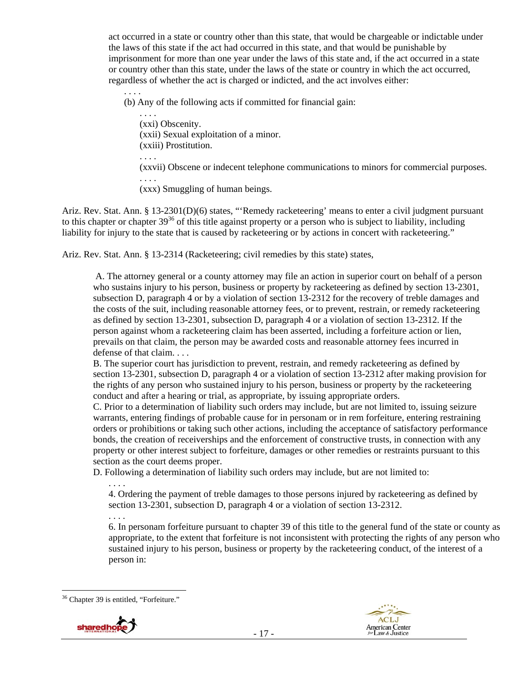act occurred in a state or country other than this state, that would be chargeable or indictable under the laws of this state if the act had occurred in this state, and that would be punishable by imprisonment for more than one year under the laws of this state and, if the act occurred in a state or country other than this state, under the laws of the state or country in which the act occurred, regardless of whether the act is charged or indicted, and the act involves either:

. . . . (b) Any of the following acts if committed for financial gain:

. . . . (xxi) Obscenity. (xxii) Sexual exploitation of a minor. (xxiii) Prostitution. . . . . (xxvii) Obscene or indecent telephone communications to minors for commercial purposes. . . . . (xxx) Smuggling of human beings.

Ariz. Rev. Stat. Ann. § 13-2301(D)(6) states, "'Remedy racketeering' means to enter a civil judgment pursuant to this chapter or chapter  $39^{36}$  of this title against property or a person who is subject to liability, including liability for injury to the state that is caused by racketeering or by actions in concert with racketeering."

Ariz. Rev. Stat. Ann. § 13-2314 (Racketeering; civil remedies by this state) states,

 A. The attorney general or a county attorney may file an action in superior court on behalf of a person who sustains injury to his person, business or property by racketeering as defined by section 13-2301, subsection D, paragraph 4 or by a violation of section 13-2312 for the recovery of treble damages and the costs of the suit, including reasonable attorney fees, or to prevent, restrain, or remedy racketeering as defined by section 13-2301, subsection D, paragraph 4 or a violation of section 13-2312. If the person against whom a racketeering claim has been asserted, including a forfeiture action or lien, prevails on that claim, the person may be awarded costs and reasonable attorney fees incurred in defense of that claim. . . .

B. The superior court has jurisdiction to prevent, restrain, and remedy racketeering as defined by section 13-2301, subsection D, paragraph 4 or a violation of section 13-2312 after making provision for the rights of any person who sustained injury to his person, business or property by the racketeering conduct and after a hearing or trial, as appropriate, by issuing appropriate orders.

C. Prior to a determination of liability such orders may include, but are not limited to, issuing seizure warrants, entering findings of probable cause for in personam or in rem forfeiture, entering restraining orders or prohibitions or taking such other actions, including the acceptance of satisfactory performance bonds, the creation of receiverships and the enforcement of constructive trusts, in connection with any property or other interest subject to forfeiture, damages or other remedies or restraints pursuant to this section as the court deems proper.

D. Following a determination of liability such orders may include, but are not limited to:

4. Ordering the payment of treble damages to those persons injured by racketeering as defined by section 13-2301, subsection D, paragraph 4 or a violation of section 13-2312.

. . . . 6. In personam forfeiture pursuant to chapter 39 of this title to the general fund of the state or county as appropriate, to the extent that forfeiture is not inconsistent with protecting the rights of any person who sustained injury to his person, business or property by the racketeering conduct, of the interest of a person in:

. . . .





 $\overline{a}$ <sup>36</sup> Chapter 39 is entitled, "Forfeiture."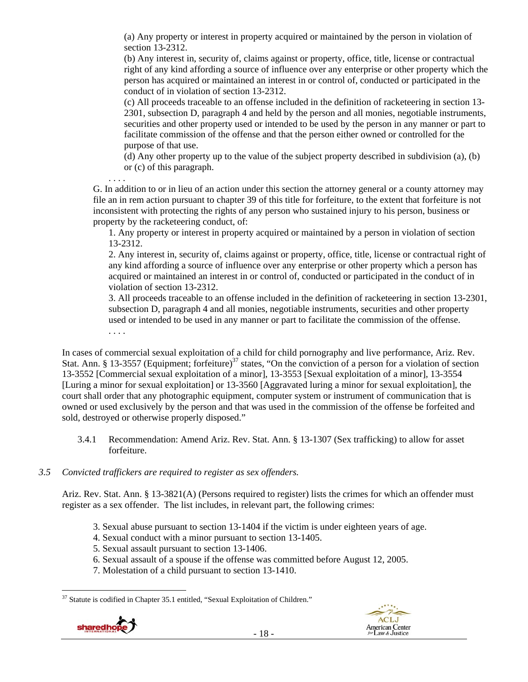(a) Any property or interest in property acquired or maintained by the person in violation of section 13-2312.

(b) Any interest in, security of, claims against or property, office, title, license or contractual right of any kind affording a source of influence over any enterprise or other property which the person has acquired or maintained an interest in or control of, conducted or participated in the conduct of in violation of section 13-2312.

(c) All proceeds traceable to an offense included in the definition of racketeering in section 13- 2301, subsection D, paragraph 4 and held by the person and all monies, negotiable instruments, securities and other property used or intended to be used by the person in any manner or part to facilitate commission of the offense and that the person either owned or controlled for the purpose of that use.

(d) Any other property up to the value of the subject property described in subdivision (a), (b) or (c) of this paragraph.

. . . .

G. In addition to or in lieu of an action under this section the attorney general or a county attorney may file an in rem action pursuant to chapter 39 of this title for forfeiture, to the extent that forfeiture is not inconsistent with protecting the rights of any person who sustained injury to his person, business or property by the racketeering conduct, of:

1. Any property or interest in property acquired or maintained by a person in violation of section 13-2312.

2. Any interest in, security of, claims against or property, office, title, license or contractual right of any kind affording a source of influence over any enterprise or other property which a person has acquired or maintained an interest in or control of, conducted or participated in the conduct of in violation of section 13-2312.

3. All proceeds traceable to an offense included in the definition of racketeering in section 13-2301, subsection D, paragraph 4 and all monies, negotiable instruments, securities and other property used or intended to be used in any manner or part to facilitate the commission of the offense. . . . .

In cases of commercial sexual exploitation of a child for child pornography and live performance, Ariz. Rev. Stat. Ann. § 13-3557 (Equipment; forfeiture)<sup>37</sup> states, "On the conviction of a person for a violation of section 13-3552 [Commercial sexual exploitation of a minor], 13-3553 [Sexual exploitation of a minor], 13-3554 [Luring a minor for sexual exploitation] or 13-3560 [Aggravated luring a minor for sexual exploitation], the court shall order that any photographic equipment, computer system or instrument of communication that is owned or used exclusively by the person and that was used in the commission of the offense be forfeited and sold, destroyed or otherwise properly disposed."

3.4.1 Recommendation: Amend Ariz. Rev. Stat. Ann. § 13-1307 (Sex trafficking) to allow for asset forfeiture.

# *3.5 Convicted traffickers are required to register as sex offenders.*

Ariz. Rev. Stat. Ann. § 13-3821(A) (Persons required to register) lists the crimes for which an offender must register as a sex offender. The list includes, in relevant part, the following crimes:

- 3. Sexual abuse pursuant to section 13-1404 if the victim is under eighteen years of age.
- 4. Sexual conduct with a minor pursuant to section 13-1405.
- 5. Sexual assault pursuant to section 13-1406.
- 6. Sexual assault of a spouse if the offense was committed before August 12, 2005.
- 7. Molestation of a child pursuant to section 13-1410.

 $\overline{a}$  $37$  Statute is codified in Chapter 35.1 entitled, "Sexual Exploitation of Children."

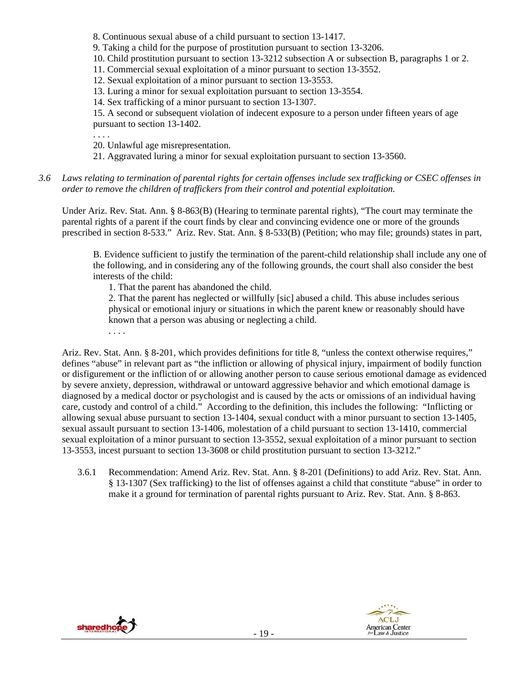8. Continuous sexual abuse of a child pursuant to section 13-1417.

9. Taking a child for the purpose of prostitution pursuant to section 13-3206.

10. Child prostitution pursuant to section 13-3212 subsection A or subsection B, paragraphs 1 or 2.

11. Commercial sexual exploitation of a minor pursuant to section 13-3552.

12. Sexual exploitation of a minor pursuant to section 13-3553.

13. Luring a minor for sexual exploitation pursuant to section 13-3554.

14. Sex trafficking of a minor pursuant to section 13-1307.

15. A second or subsequent violation of indecent exposure to a person under fifteen years of age pursuant to section 13-1402.

. . . .

. . . .

20. Unlawful age misrepresentation.

- 21. Aggravated luring a minor for sexual exploitation pursuant to section 13-3560.
- *3.6 Laws relating to termination of parental rights for certain offenses include sex trafficking or CSEC offenses in order to remove the children of traffickers from their control and potential exploitation.*

Under Ariz. Rev. Stat. Ann. § 8-863(B) (Hearing to terminate parental rights), "The court may terminate the parental rights of a parent if the court finds by clear and convincing evidence one or more of the grounds prescribed in section 8-533." Ariz. Rev. Stat. Ann. § 8-533(B) (Petition; who may file; grounds) states in part,

B. Evidence sufficient to justify the termination of the parent-child relationship shall include any one of the following, and in considering any of the following grounds, the court shall also consider the best interests of the child:

1. That the parent has abandoned the child.

2. That the parent has neglected or willfully [sic] abused a child. This abuse includes serious physical or emotional injury or situations in which the parent knew or reasonably should have known that a person was abusing or neglecting a child.

Ariz. Rev. Stat. Ann. § 8-201, which provides definitions for title 8, "unless the context otherwise requires," defines "abuse" in relevant part as "the infliction or allowing of physical injury, impairment of bodily function or disfigurement or the infliction of or allowing another person to cause serious emotional damage as evidenced by severe anxiety, depression, withdrawal or untoward aggressive behavior and which emotional damage is diagnosed by a medical doctor or psychologist and is caused by the acts or omissions of an individual having care, custody and control of a child." According to the definition, this includes the following: "Inflicting or allowing sexual abuse pursuant to section 13-1404, sexual conduct with a minor pursuant to section 13-1405, sexual assault pursuant to section 13-1406, molestation of a child pursuant to section 13-1410, commercial sexual exploitation of a minor pursuant to section 13-3552, sexual exploitation of a minor pursuant to section 13-3553, incest pursuant to section 13-3608 or child prostitution pursuant to section 13-3212."

3.6.1 Recommendation: Amend Ariz. Rev. Stat. Ann. § 8-201 (Definitions) to add Ariz. Rev. Stat. Ann. § 13-1307 (Sex trafficking) to the list of offenses against a child that constitute "abuse" in order to make it a ground for termination of parental rights pursuant to Ariz. Rev. Stat. Ann. § 8-863.



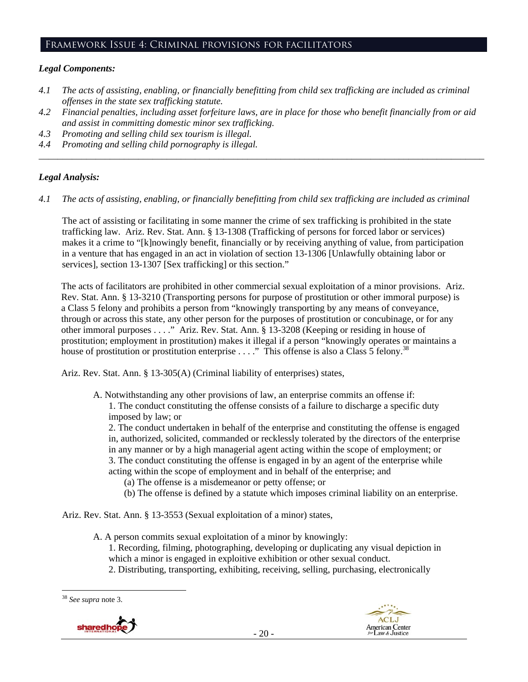## Framework Issue 4: Criminal provisions for facilitators

# *Legal Components:*

- *4.1 The acts of assisting, enabling, or financially benefitting from child sex trafficking are included as criminal offenses in the state sex trafficking statute.*
- *4.2 Financial penalties, including asset forfeiture laws, are in place for those who benefit financially from or aid and assist in committing domestic minor sex trafficking.*

*\_\_\_\_\_\_\_\_\_\_\_\_\_\_\_\_\_\_\_\_\_\_\_\_\_\_\_\_\_\_\_\_\_\_\_\_\_\_\_\_\_\_\_\_\_\_\_\_\_\_\_\_\_\_\_\_\_\_\_\_\_\_\_\_\_\_\_\_\_\_\_\_\_\_\_\_\_\_\_\_\_\_\_\_\_\_\_\_\_\_\_\_\_\_* 

- *4.3 Promoting and selling child sex tourism is illegal.*
- *4.4 Promoting and selling child pornography is illegal.*

## *Legal Analysis:*

*4.1 The acts of assisting, enabling, or financially benefitting from child sex trafficking are included as criminal* 

The act of assisting or facilitating in some manner the crime of sex trafficking is prohibited in the state trafficking law. Ariz. Rev. Stat. Ann. § 13-1308 (Trafficking of persons for forced labor or services) makes it a crime to "[k]nowingly benefit, financially or by receiving anything of value, from participation in a venture that has engaged in an act in violation of section 13-1306 [Unlawfully obtaining labor or services], section 13-1307 [Sex trafficking] or this section."

The acts of facilitators are prohibited in other commercial sexual exploitation of a minor provisions. Ariz. Rev. Stat. Ann. § 13-3210 (Transporting persons for purpose of prostitution or other immoral purpose) is a Class 5 felony and prohibits a person from "knowingly transporting by any means of conveyance, through or across this state, any other person for the purposes of prostitution or concubinage, or for any other immoral purposes . . . ." Ariz. Rev. Stat. Ann. § 13-3208 (Keeping or residing in house of prostitution; employment in prostitution) makes it illegal if a person "knowingly operates or maintains a house of prostitution or prostitution enterprise  $\dots$ ." This offense is also a Class 5 felony.<sup>38</sup>

Ariz. Rev. Stat. Ann. § 13-305(A) (Criminal liability of enterprises) states,

A. Notwithstanding any other provisions of law, an enterprise commits an offense if: 1. The conduct constituting the offense consists of a failure to discharge a specific duty imposed by law; or

2. The conduct undertaken in behalf of the enterprise and constituting the offense is engaged in, authorized, solicited, commanded or recklessly tolerated by the directors of the enterprise in any manner or by a high managerial agent acting within the scope of employment; or 3. The conduct constituting the offense is engaged in by an agent of the enterprise while

- acting within the scope of employment and in behalf of the enterprise; and
	- (a) The offense is a misdemeanor or petty offense; or
	- (b) The offense is defined by a statute which imposes criminal liability on an enterprise.

Ariz. Rev. Stat. Ann. § 13-3553 (Sexual exploitation of a minor) states,

- A. A person commits sexual exploitation of a minor by knowingly: 1. Recording, filming, photographing, developing or duplicating any visual depiction in which a minor is engaged in exploitive exhibition or other sexual conduct.
	- 2. Distributing, transporting, exhibiting, receiving, selling, purchasing, electronically

 $\overline{a}$ <sup>38</sup> *See supra* note 3.



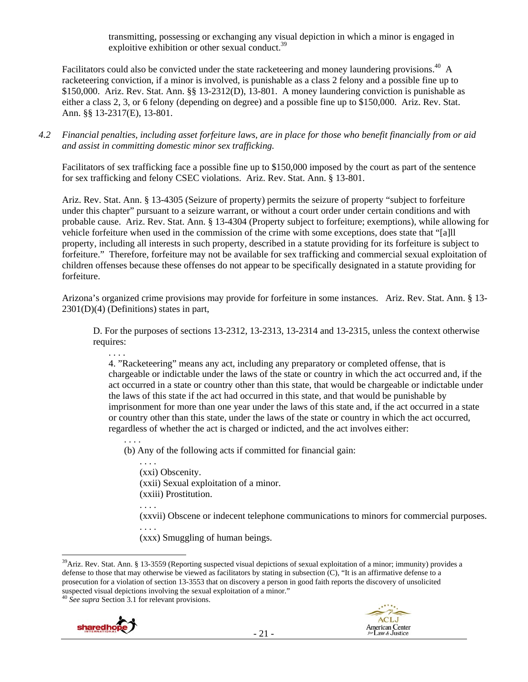transmitting, possessing or exchanging any visual depiction in which a minor is engaged in exploitive exhibition or other sexual conduct.<sup>39</sup>

Facilitators could also be convicted under the state racketeering and money laundering provisions.<sup>40</sup> A racketeering conviction, if a minor is involved, is punishable as a class 2 felony and a possible fine up to \$150,000. Ariz. Rev. Stat. Ann. §§ 13-2312(D), 13-801. A money laundering conviction is punishable as either a class 2, 3, or 6 felony (depending on degree) and a possible fine up to \$150,000. Ariz. Rev. Stat. Ann. §§ 13-2317(E), 13-801.

*4.2 Financial penalties, including asset forfeiture laws, are in place for those who benefit financially from or aid and assist in committing domestic minor sex trafficking.* 

Facilitators of sex trafficking face a possible fine up to \$150,000 imposed by the court as part of the sentence for sex trafficking and felony CSEC violations. Ariz. Rev. Stat. Ann. § 13-801.

Ariz. Rev. Stat. Ann. § 13-4305 (Seizure of property) permits the seizure of property "subject to forfeiture under this chapter" pursuant to a seizure warrant, or without a court order under certain conditions and with probable cause. Ariz. Rev. Stat. Ann. § 13-4304 (Property subject to forfeiture; exemptions), while allowing for vehicle forfeiture when used in the commission of the crime with some exceptions, does state that "[a]ll property, including all interests in such property, described in a statute providing for its forfeiture is subject to forfeiture." Therefore, forfeiture may not be available for sex trafficking and commercial sexual exploitation of children offenses because these offenses do not appear to be specifically designated in a statute providing for forfeiture.

Arizona's organized crime provisions may provide for forfeiture in some instances. Ariz. Rev. Stat. Ann. § 13- 2301(D)(4) (Definitions) states in part,

D. For the purposes of sections 13-2312, 13-2313, 13-2314 and 13-2315, unless the context otherwise requires:

. . . . 4. "Racketeering" means any act, including any preparatory or completed offense, that is chargeable or indictable under the laws of the state or country in which the act occurred and, if the act occurred in a state or country other than this state, that would be chargeable or indictable under the laws of this state if the act had occurred in this state, and that would be punishable by imprisonment for more than one year under the laws of this state and, if the act occurred in a state or country other than this state, under the laws of the state or country in which the act occurred, regardless of whether the act is charged or indicted, and the act involves either:

. . . . (b) Any of the following acts if committed for financial gain:

. . . . (xxi) Obscenity. (xxii) Sexual exploitation of a minor. (xxiii) Prostitution. . . . . (xxvii) Obscene or indecent telephone communications to minors for commercial purposes. . . . .

(xxx) Smuggling of human beings.





 $\overline{a}$  $39$ Ariz. Rev. Stat. Ann. § 13-3559 (Reporting suspected visual depictions of sexual exploitation of a minor; immunity) provides a defense to those that may otherwise be viewed as facilitators by stating in subsection (C), "It is an affirmative defense to a prosecution for a violation of section 13-3553 that on discovery a person in good faith reports the discovery of unsolicited suspected visual depictions involving the sexual exploitation of a minor." 40 *See supra* Section 3.1 for relevant provisions.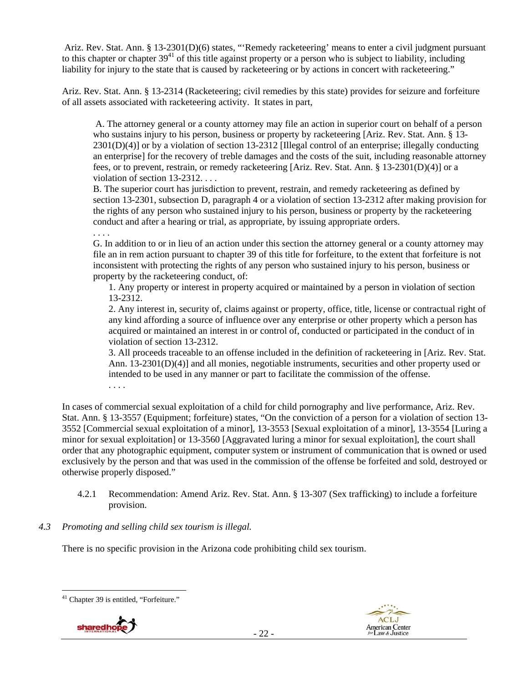Ariz. Rev. Stat. Ann. § 13-2301(D)(6) states, "'Remedy racketeering' means to enter a civil judgment pursuant to this chapter or chapter  $39<sup>41</sup>$  of this title against property or a person who is subject to liability, including liability for injury to the state that is caused by racketeering or by actions in concert with racketeering."

Ariz. Rev. Stat. Ann. § 13-2314 (Racketeering; civil remedies by this state) provides for seizure and forfeiture of all assets associated with racketeering activity. It states in part,

 A. The attorney general or a county attorney may file an action in superior court on behalf of a person who sustains injury to his person, business or property by racketeering [Ariz. Rev. Stat. Ann. § 13- 2301(D)(4)] or by a violation of section 13-2312 [Illegal control of an enterprise; illegally conducting an enterprise] for the recovery of treble damages and the costs of the suit, including reasonable attorney fees, or to prevent, restrain, or remedy racketeering [Ariz. Rev. Stat. Ann. § 13-2301(D)(4)] or a violation of section 13-2312. . . .

B. The superior court has jurisdiction to prevent, restrain, and remedy racketeering as defined by section 13-2301, subsection D, paragraph 4 or a violation of section 13-2312 after making provision for the rights of any person who sustained injury to his person, business or property by the racketeering conduct and after a hearing or trial, as appropriate, by issuing appropriate orders.

. . . .

G. In addition to or in lieu of an action under this section the attorney general or a county attorney may file an in rem action pursuant to chapter 39 of this title for forfeiture, to the extent that forfeiture is not inconsistent with protecting the rights of any person who sustained injury to his person, business or property by the racketeering conduct, of:

1. Any property or interest in property acquired or maintained by a person in violation of section 13-2312.

2. Any interest in, security of, claims against or property, office, title, license or contractual right of any kind affording a source of influence over any enterprise or other property which a person has acquired or maintained an interest in or control of, conducted or participated in the conduct of in violation of section 13-2312.

3. All proceeds traceable to an offense included in the definition of racketeering in [Ariz. Rev. Stat. Ann. 13-2301(D)(4)] and all monies, negotiable instruments, securities and other property used or intended to be used in any manner or part to facilitate the commission of the offense.

. . . .

In cases of commercial sexual exploitation of a child for child pornography and live performance, Ariz. Rev. Stat. Ann. § 13-3557 (Equipment; forfeiture) states, "On the conviction of a person for a violation of section 13- 3552 [Commercial sexual exploitation of a minor], 13-3553 [Sexual exploitation of a minor], 13-3554 [Luring a minor for sexual exploitation] or 13-3560 [Aggravated luring a minor for sexual exploitation], the court shall order that any photographic equipment, computer system or instrument of communication that is owned or used exclusively by the person and that was used in the commission of the offense be forfeited and sold, destroyed or otherwise properly disposed."

- 4.2.1 Recommendation: Amend Ariz. Rev. Stat. Ann. § 13-307 (Sex trafficking) to include a forfeiture provision.
- *4.3 Promoting and selling child sex tourism is illegal.*

There is no specific provision in the Arizona code prohibiting child sex tourism.

 $\overline{a}$ 41 Chapter 39 is entitled, "Forfeiture."



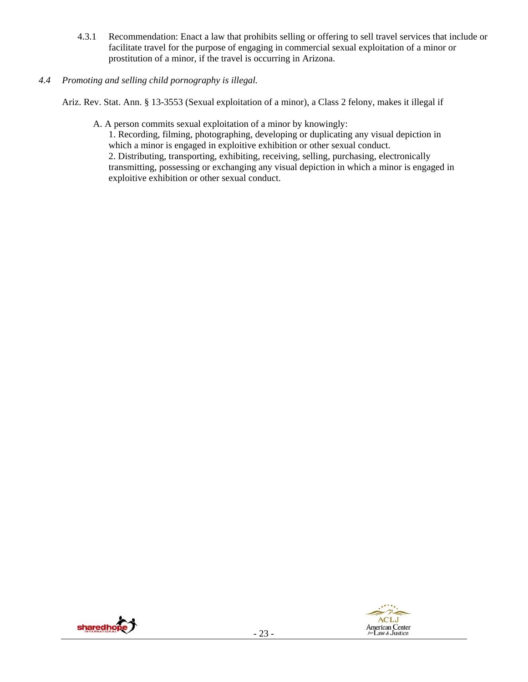- 4.3.1 Recommendation: Enact a law that prohibits selling or offering to sell travel services that include or facilitate travel for the purpose of engaging in commercial sexual exploitation of a minor or prostitution of a minor, if the travel is occurring in Arizona.
- *4.4 Promoting and selling child pornography is illegal.*

Ariz. Rev. Stat. Ann. § 13-3553 (Sexual exploitation of a minor), a Class 2 felony, makes it illegal if

A. A person commits sexual exploitation of a minor by knowingly:

1. Recording, filming, photographing, developing or duplicating any visual depiction in which a minor is engaged in exploitive exhibition or other sexual conduct.

2. Distributing, transporting, exhibiting, receiving, selling, purchasing, electronically transmitting, possessing or exchanging any visual depiction in which a minor is engaged in exploitive exhibition or other sexual conduct.



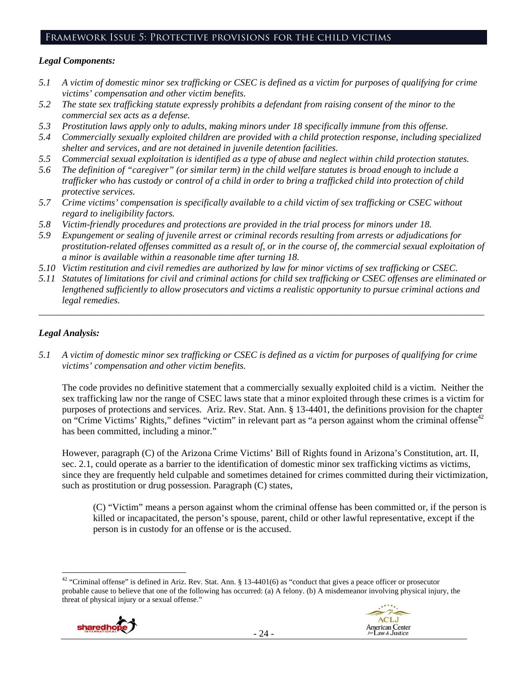# Framework Issue 5: Protective provisions for the child victims

# *Legal Components:*

- *5.1 A victim of domestic minor sex trafficking or CSEC is defined as a victim for purposes of qualifying for crime victims' compensation and other victim benefits.*
- *5.2 The state sex trafficking statute expressly prohibits a defendant from raising consent of the minor to the commercial sex acts as a defense.*
- *5.3 Prostitution laws apply only to adults, making minors under 18 specifically immune from this offense.*
- *5.4 Commercially sexually exploited children are provided with a child protection response, including specialized shelter and services, and are not detained in juvenile detention facilities.*
- *5.5 Commercial sexual exploitation is identified as a type of abuse and neglect within child protection statutes.*
- *5.6 The definition of "caregiver" (or similar term) in the child welfare statutes is broad enough to include a trafficker who has custody or control of a child in order to bring a trafficked child into protection of child protective services.*
- *5.7 Crime victims' compensation is specifically available to a child victim of sex trafficking or CSEC without regard to ineligibility factors.*
- *5.8 Victim-friendly procedures and protections are provided in the trial process for minors under 18.*
- *5.9 Expungement or sealing of juvenile arrest or criminal records resulting from arrests or adjudications for prostitution-related offenses committed as a result of, or in the course of, the commercial sexual exploitation of a minor is available within a reasonable time after turning 18.*
- *5.10 Victim restitution and civil remedies are authorized by law for minor victims of sex trafficking or CSEC.*
- *5.11 Statutes of limitations for civil and criminal actions for child sex trafficking or CSEC offenses are eliminated or lengthened sufficiently to allow prosecutors and victims a realistic opportunity to pursue criminal actions and legal remedies.*

*\_\_\_\_\_\_\_\_\_\_\_\_\_\_\_\_\_\_\_\_\_\_\_\_\_\_\_\_\_\_\_\_\_\_\_\_\_\_\_\_\_\_\_\_\_\_\_\_\_\_\_\_\_\_\_\_\_\_\_\_\_\_\_\_\_\_\_\_\_\_\_\_\_\_\_\_\_\_\_\_\_\_\_\_\_\_\_\_\_\_\_\_\_\_* 

# *Legal Analysis:*

*5.1 A victim of domestic minor sex trafficking or CSEC is defined as a victim for purposes of qualifying for crime victims' compensation and other victim benefits.* 

The code provides no definitive statement that a commercially sexually exploited child is a victim. Neither the sex trafficking law nor the range of CSEC laws state that a minor exploited through these crimes is a victim for purposes of protections and services. Ariz. Rev. Stat. Ann. § 13-4401, the definitions provision for the chapter on "Crime Victims' Rights," defines "victim" in relevant part as "a person against whom the criminal offense<sup>42</sup> has been committed, including a minor."

However, paragraph (C) of the Arizona Crime Victims' Bill of Rights found in Arizona's Constitution, art. II, sec. 2.1, could operate as a barrier to the identification of domestic minor sex trafficking victims as victims, since they are frequently held culpable and sometimes detained for crimes committed during their victimization, such as prostitution or drug possession. Paragraph (C) states,

(C) "Victim" means a person against whom the criminal offense has been committed or, if the person is killed or incapacitated, the person's spouse, parent, child or other lawful representative, except if the person is in custody for an offense or is the accused.

 $\overline{a}$  $42$  "Criminal offense" is defined in Ariz. Rev. Stat. Ann. § 13-4401(6) as "conduct that gives a peace officer or prosecutor probable cause to believe that one of the following has occurred: (a) A felony. (b) A misdemeanor involving physical injury, the threat of physical injury or a sexual offense."



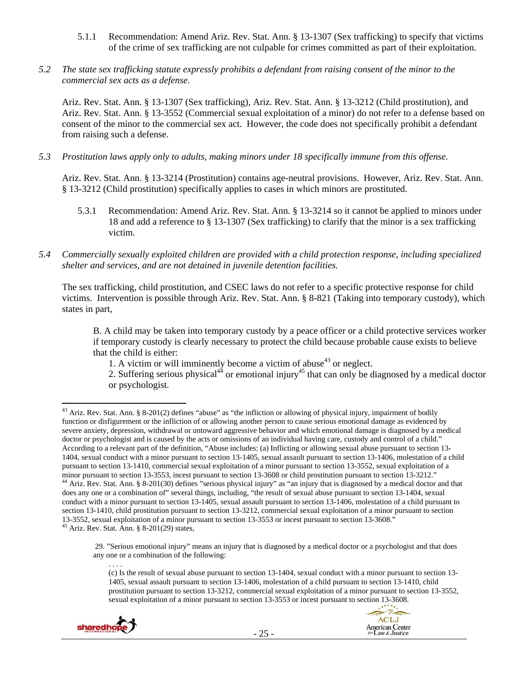- 5.1.1 Recommendation: Amend Ariz. Rev. Stat. Ann. § 13-1307 (Sex trafficking) to specify that victims of the crime of sex trafficking are not culpable for crimes committed as part of their exploitation.
- *5.2 The state sex trafficking statute expressly prohibits a defendant from raising consent of the minor to the commercial sex acts as a defense.*

Ariz. Rev. Stat. Ann. § 13-1307 (Sex trafficking), Ariz. Rev. Stat. Ann. § 13-3212 (Child prostitution), and Ariz. Rev. Stat. Ann. § 13-3552 (Commercial sexual exploitation of a minor) do not refer to a defense based on consent of the minor to the commercial sex act. However, the code does not specifically prohibit a defendant from raising such a defense.

*5.3 Prostitution laws apply only to adults, making minors under 18 specifically immune from this offense.* 

Ariz. Rev. Stat. Ann. § 13-3214 (Prostitution) contains age-neutral provisions. However, Ariz. Rev. Stat. Ann. § 13-3212 (Child prostitution) specifically applies to cases in which minors are prostituted.

- 5.3.1 Recommendation: Amend Ariz. Rev. Stat. Ann. § 13-3214 so it cannot be applied to minors under 18 and add a reference to § 13-1307 (Sex trafficking) to clarify that the minor is a sex trafficking victim.
- *5.4 Commercially sexually exploited children are provided with a child protection response, including specialized shelter and services, and are not detained in juvenile detention facilities.*

The sex trafficking, child prostitution, and CSEC laws do not refer to a specific protective response for child victims. Intervention is possible through Ariz. Rev. Stat. Ann. § 8-821 (Taking into temporary custody), which states in part,

B. A child may be taken into temporary custody by a peace officer or a child protective services worker if temporary custody is clearly necessary to protect the child because probable cause exists to believe that the child is either:

1. A victim or will imminently become a victim of abuse<sup>43</sup> or neglect.

2. Suffering serious physical<sup>44</sup> or emotional injury<sup>45</sup> that can only be diagnosed by a medical doctor or psychologist.

. . . .

 29. "Serious emotional injury" means an injury that is diagnosed by a medical doctor or a psychologist and that does any one or a combination of the following:

<sup>(</sup>c) Is the result of sexual abuse pursuant to section 13-1404, sexual conduct with a minor pursuant to section 13- 1405, sexual assault pursuant to section 13-1406, molestation of a child pursuant to section 13-1410, child prostitution pursuant to section 13-3212, commercial sexual exploitation of a minor pursuant to section 13-3552, sexual exploitation of a minor pursuant to section 13-3553 or incest pursuant to section 13-3608.





<sup>&</sup>lt;sup>43</sup> Ariz. Rev. Stat. Ann. § 8-201(2) defines "abuse" as "the infliction or allowing of physical injury, impairment of bodily function or disfigurement or the infliction of or allowing another person to cause serious emotional damage as evidenced by severe anxiety, depression, withdrawal or untoward aggressive behavior and which emotional damage is diagnosed by a medical doctor or psychologist and is caused by the acts or omissions of an individual having care, custody and control of a child." According to a relevant part of the definition, "Abuse includes: (a) Inflicting or allowing sexual abuse pursuant to section 13- 1404, sexual conduct with a minor pursuant to section 13-1405, sexual assault pursuant to section 13-1406, molestation of a child pursuant to section 13-1410, commercial sexual exploitation of a minor pursuant to section 13-3552, sexual exploitation of a minor pursuant to section 13-3553, incest pursuant to section 13-3608 or child prostitution pursuant to section 13-3212."<br><sup>44</sup> Ariz. Rev. Stat. Ann. § 8-201(30) defines "serious physical injury" as "an injury that is diagn does any one or a combination of" several things, including, "the result of sexual abuse pursuant to section 13-1404, sexual conduct with a minor pursuant to section 13-1405, sexual assault pursuant to section 13-1406, molestation of a child pursuant to section 13-1410, child prostitution pursuant to section 13-3212, commercial sexual exploitation of a minor pursuant to section 13-3552, sexual exploitation of a minor pursuant to section 13-3553 or incest pursuant to section 13-3608." 45 Ariz. Rev. Stat. Ann. § 8-201(29) states,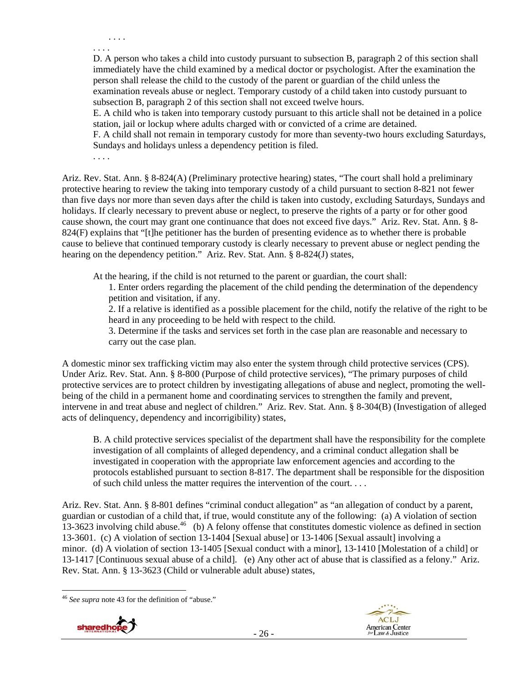. . . . . . . .

D. A person who takes a child into custody pursuant to subsection B, paragraph 2 of this section shall immediately have the child examined by a medical doctor or psychologist. After the examination the person shall release the child to the custody of the parent or guardian of the child unless the examination reveals abuse or neglect. Temporary custody of a child taken into custody pursuant to subsection B, paragraph 2 of this section shall not exceed twelve hours.

E. A child who is taken into temporary custody pursuant to this article shall not be detained in a police station, jail or lockup where adults charged with or convicted of a crime are detained.

F. A child shall not remain in temporary custody for more than seventy-two hours excluding Saturdays, Sundays and holidays unless a dependency petition is filed.

. . . .

Ariz. Rev. Stat. Ann. § 8-824(A) (Preliminary protective hearing) states, "The court shall hold a preliminary protective hearing to review the taking into temporary custody of a child pursuant to section 8-821 not fewer than five days nor more than seven days after the child is taken into custody, excluding Saturdays, Sundays and holidays. If clearly necessary to prevent abuse or neglect, to preserve the rights of a party or for other good cause shown, the court may grant one continuance that does not exceed five days." Ariz. Rev. Stat. Ann. § 8- 824(F) explains that "[t]he petitioner has the burden of presenting evidence as to whether there is probable cause to believe that continued temporary custody is clearly necessary to prevent abuse or neglect pending the hearing on the dependency petition." Ariz. Rev. Stat. Ann. § 8-824(J) states,

At the hearing, if the child is not returned to the parent or guardian, the court shall:

1. Enter orders regarding the placement of the child pending the determination of the dependency petition and visitation, if any.

2. If a relative is identified as a possible placement for the child, notify the relative of the right to be heard in any proceeding to be held with respect to the child.

3. Determine if the tasks and services set forth in the case plan are reasonable and necessary to carry out the case plan.

A domestic minor sex trafficking victim may also enter the system through child protective services (CPS). Under Ariz. Rev. Stat. Ann. § 8-800 (Purpose of child protective services), "The primary purposes of child protective services are to protect children by investigating allegations of abuse and neglect, promoting the wellbeing of the child in a permanent home and coordinating services to strengthen the family and prevent, intervene in and treat abuse and neglect of children." Ariz. Rev. Stat. Ann. § 8-304(B) (Investigation of alleged acts of delinquency, dependency and incorrigibility) states,

B. A child protective services specialist of the department shall have the responsibility for the complete investigation of all complaints of alleged dependency, and a criminal conduct allegation shall be investigated in cooperation with the appropriate law enforcement agencies and according to the protocols established pursuant to section 8-817. The department shall be responsible for the disposition of such child unless the matter requires the intervention of the court. . . .

Ariz. Rev. Stat. Ann. § 8-801 defines "criminal conduct allegation" as "an allegation of conduct by a parent, guardian or custodian of a child that, if true, would constitute any of the following: (a) A violation of section 13-3623 involving child abuse.<sup>46</sup> (b) A felony offense that constitutes domestic violence as defined in section 13-3601. (c) A violation of section 13-1404 [Sexual abuse] or 13-1406 [Sexual assault] involving a minor. (d) A violation of section 13-1405 [Sexual conduct with a minor], 13-1410 [Molestation of a child] or 13-1417 [Continuous sexual abuse of a child]. (e) Any other act of abuse that is classified as a felony." Ariz. Rev. Stat. Ann. § 13-3623 (Child or vulnerable adult abuse) states,

<sup>46</sup> *See supra* note 43 for the definition of "abuse."

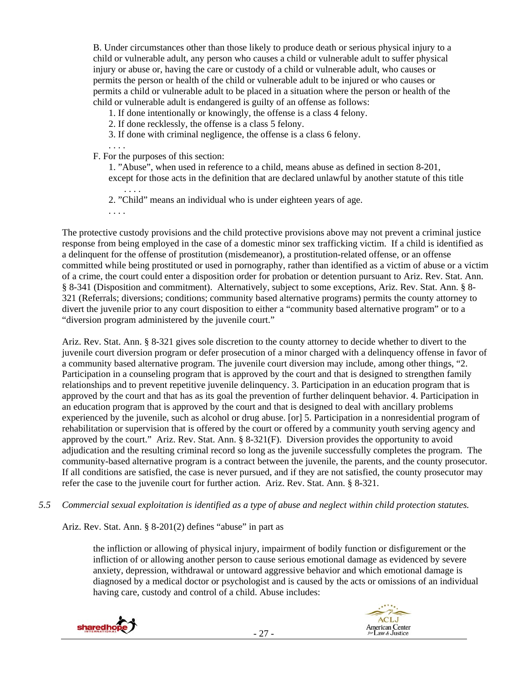B. Under circumstances other than those likely to produce death or serious physical injury to a child or vulnerable adult, any person who causes a child or vulnerable adult to suffer physical injury or abuse or, having the care or custody of a child or vulnerable adult, who causes or permits the person or health of the child or vulnerable adult to be injured or who causes or permits a child or vulnerable adult to be placed in a situation where the person or health of the child or vulnerable adult is endangered is guilty of an offense as follows:

1. If done intentionally or knowingly, the offense is a class 4 felony.

2. If done recklessly, the offense is a class 5 felony.

3. If done with criminal negligence, the offense is a class 6 felony.

. . . . F. For the purposes of this section:

1. "Abuse", when used in reference to a child, means abuse as defined in section 8-201, except for those acts in the definition that are declared unlawful by another statute of this title

. . . . 2. "Child" means an individual who is under eighteen years of age.

. . . .

The protective custody provisions and the child protective provisions above may not prevent a criminal justice response from being employed in the case of a domestic minor sex trafficking victim. If a child is identified as a delinquent for the offense of prostitution (misdemeanor), a prostitution-related offense, or an offense committed while being prostituted or used in pornography, rather than identified as a victim of abuse or a victim of a crime, the court could enter a disposition order for probation or detention pursuant to Ariz. Rev. Stat. Ann. § 8-341 (Disposition and commitment). Alternatively, subject to some exceptions, Ariz. Rev. Stat. Ann. § 8- 321 (Referrals; diversions; conditions; community based alternative programs) permits the county attorney to divert the juvenile prior to any court disposition to either a "community based alternative program" or to a "diversion program administered by the juvenile court."

Ariz. Rev. Stat. Ann. § 8-321 gives sole discretion to the county attorney to decide whether to divert to the juvenile court diversion program or defer prosecution of a minor charged with a delinquency offense in favor of a community based alternative program. The juvenile court diversion may include, among other things, "2. Participation in a counseling program that is approved by the court and that is designed to strengthen family relationships and to prevent repetitive juvenile delinquency. 3. Participation in an education program that is approved by the court and that has as its goal the prevention of further delinquent behavior. 4. Participation in an education program that is approved by the court and that is designed to deal with ancillary problems experienced by the juvenile, such as alcohol or drug abuse. [or] 5. Participation in a nonresidential program of rehabilitation or supervision that is offered by the court or offered by a community youth serving agency and approved by the court." Ariz. Rev. Stat. Ann. § 8-321(F). Diversion provides the opportunity to avoid adjudication and the resulting criminal record so long as the juvenile successfully completes the program. The community-based alternative program is a contract between the juvenile, the parents, and the county prosecutor. If all conditions are satisfied, the case is never pursued, and if they are not satisfied, the county prosecutor may refer the case to the juvenile court for further action. Ariz. Rev. Stat. Ann. § 8-321.

*5.5 Commercial sexual exploitation is identified as a type of abuse and neglect within child protection statutes.* 

Ariz. Rev. Stat. Ann. § 8-201(2) defines "abuse" in part as

the infliction or allowing of physical injury, impairment of bodily function or disfigurement or the infliction of or allowing another person to cause serious emotional damage as evidenced by severe anxiety, depression, withdrawal or untoward aggressive behavior and which emotional damage is diagnosed by a medical doctor or psychologist and is caused by the acts or omissions of an individual having care, custody and control of a child. Abuse includes:



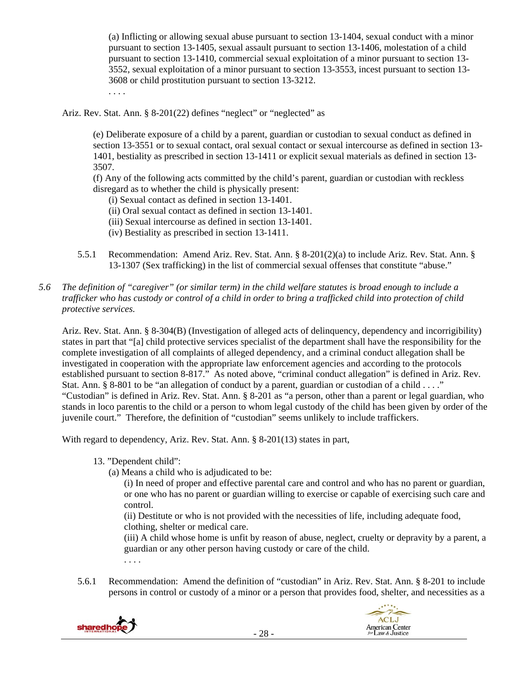(a) Inflicting or allowing sexual abuse pursuant to section 13-1404, sexual conduct with a minor pursuant to section 13-1405, sexual assault pursuant to section 13-1406, molestation of a child pursuant to section 13-1410, commercial sexual exploitation of a minor pursuant to section 13- 3552, sexual exploitation of a minor pursuant to section 13-3553, incest pursuant to section 13- 3608 or child prostitution pursuant to section 13-3212.

. . . .

Ariz. Rev. Stat. Ann. § 8-201(22) defines "neglect" or "neglected" as

(e) Deliberate exposure of a child by a parent, guardian or custodian to sexual conduct as defined in section 13-3551 or to sexual contact, oral sexual contact or sexual intercourse as defined in section 13- 1401, bestiality as prescribed in section 13-1411 or explicit sexual materials as defined in section 13- 3507.

(f) Any of the following acts committed by the child's parent, guardian or custodian with reckless disregard as to whether the child is physically present:

(i) Sexual contact as defined in section 13-1401.

- (ii) Oral sexual contact as defined in section 13-1401.
- (iii) Sexual intercourse as defined in section 13-1401.
- (iv) Bestiality as prescribed in section 13-1411.
- 5.5.1 Recommendation: Amend Ariz. Rev. Stat. Ann. § 8-201(2)(a) to include Ariz. Rev. Stat. Ann. § 13-1307 (Sex trafficking) in the list of commercial sexual offenses that constitute "abuse."
- *5.6 The definition of "caregiver" (or similar term) in the child welfare statutes is broad enough to include a trafficker who has custody or control of a child in order to bring a trafficked child into protection of child protective services.*

Ariz. Rev. Stat. Ann. § 8-304(B) (Investigation of alleged acts of delinquency, dependency and incorrigibility) states in part that "[a] child protective services specialist of the department shall have the responsibility for the complete investigation of all complaints of alleged dependency, and a criminal conduct allegation shall be investigated in cooperation with the appropriate law enforcement agencies and according to the protocols established pursuant to section 8-817." As noted above, "criminal conduct allegation" is defined in Ariz. Rev. Stat. Ann. § 8-801 to be "an allegation of conduct by a parent, guardian or custodian of a child . . . ." "Custodian" is defined in Ariz. Rev. Stat. Ann. § 8-201 as "a person, other than a parent or legal guardian, who stands in loco parentis to the child or a person to whom legal custody of the child has been given by order of the juvenile court." Therefore, the definition of "custodian" seems unlikely to include traffickers.

With regard to dependency, Ariz. Rev. Stat. Ann. § 8-201(13) states in part,

13. "Dependent child":

. . . .

(a) Means a child who is adjudicated to be:

(i) In need of proper and effective parental care and control and who has no parent or guardian, or one who has no parent or guardian willing to exercise or capable of exercising such care and control.

(ii) Destitute or who is not provided with the necessities of life, including adequate food, clothing, shelter or medical care.

(iii) A child whose home is unfit by reason of abuse, neglect, cruelty or depravity by a parent, a guardian or any other person having custody or care of the child.

5.6.1 Recommendation: Amend the definition of "custodian" in Ariz. Rev. Stat. Ann. § 8-201 to include persons in control or custody of a minor or a person that provides food, shelter, and necessities as a

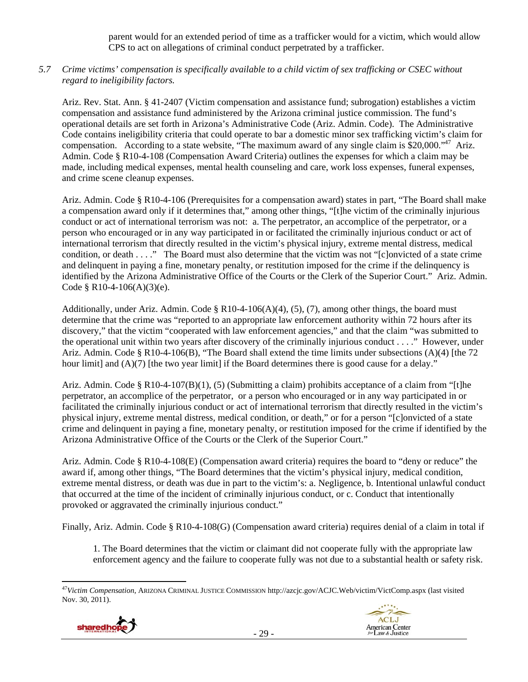parent would for an extended period of time as a trafficker would for a victim, which would allow CPS to act on allegations of criminal conduct perpetrated by a trafficker.

# *5.7 Crime victims' compensation is specifically available to a child victim of sex trafficking or CSEC without regard to ineligibility factors.*

Ariz. Rev. Stat. Ann. § 41-2407 (Victim compensation and assistance fund; subrogation) establishes a victim compensation and assistance fund administered by the Arizona criminal justice commission. The fund's operational details are set forth in Arizona's Administrative Code (Ariz. Admin. Code). The Administrative Code contains ineligibility criteria that could operate to bar a domestic minor sex trafficking victim's claim for compensation. According to a state website, "The maximum award of any single claim is \$20,000."47 Ariz. Admin. Code § R10-4-108 (Compensation Award Criteria) outlines the expenses for which a claim may be made, including medical expenses, mental health counseling and care, work loss expenses, funeral expenses, and crime scene cleanup expenses.

Ariz. Admin. Code § R10-4-106 (Prerequisites for a compensation award) states in part, "The Board shall make a compensation award only if it determines that," among other things, "[t]he victim of the criminally injurious conduct or act of international terrorism was not: a. The perpetrator, an accomplice of the perpetrator, or a person who encouraged or in any way participated in or facilitated the criminally injurious conduct or act of international terrorism that directly resulted in the victim's physical injury, extreme mental distress, medical condition, or death . . . ." The Board must also determine that the victim was not "[c]onvicted of a state crime and delinquent in paying a fine, monetary penalty, or restitution imposed for the crime if the delinquency is identified by the Arizona Administrative Office of the Courts or the Clerk of the Superior Court." Ariz. Admin. Code § R10-4-106(A)(3)(e).

Additionally, under Ariz. Admin. Code § R10-4-106(A)(4), (5), (7), among other things, the board must determine that the crime was "reported to an appropriate law enforcement authority within 72 hours after its discovery," that the victim "cooperated with law enforcement agencies," and that the claim "was submitted to the operational unit within two years after discovery of the criminally injurious conduct . . . ." However, under Ariz. Admin. Code § R10-4-106(B), "The Board shall extend the time limits under subsections (A)(4) [the 72 hour limit] and (A)(7) [the two year limit] if the Board determines there is good cause for a delay."

Ariz. Admin. Code §  $R10-4-107(B)(1)$ , (5) (Submitting a claim) prohibits acceptance of a claim from "[t]he perpetrator, an accomplice of the perpetrator, or a person who encouraged or in any way participated in or facilitated the criminally injurious conduct or act of international terrorism that directly resulted in the victim's physical injury, extreme mental distress, medical condition, or death," or for a person "[c]onvicted of a state crime and delinquent in paying a fine, monetary penalty, or restitution imposed for the crime if identified by the Arizona Administrative Office of the Courts or the Clerk of the Superior Court."

Ariz. Admin. Code § R10-4-108(E) (Compensation award criteria) requires the board to "deny or reduce" the award if, among other things, "The Board determines that the victim's physical injury, medical condition, extreme mental distress, or death was due in part to the victim's: a. Negligence, b. Intentional unlawful conduct that occurred at the time of the incident of criminally injurious conduct, or c. Conduct that intentionally provoked or aggravated the criminally injurious conduct."

Finally, Ariz. Admin. Code § R10-4-108(G) (Compensation award criteria) requires denial of a claim in total if

1. The Board determines that the victim or claimant did not cooperate fully with the appropriate law enforcement agency and the failure to cooperate fully was not due to a substantial health or safety risk.

<sup>47</sup>*Victim Compensation*, ARIZONA CRIMINAL JUSTICE COMMISSION http://azcjc.gov/ACJC.Web/victim/VictComp.aspx (last visited Nov. 30, 2011).



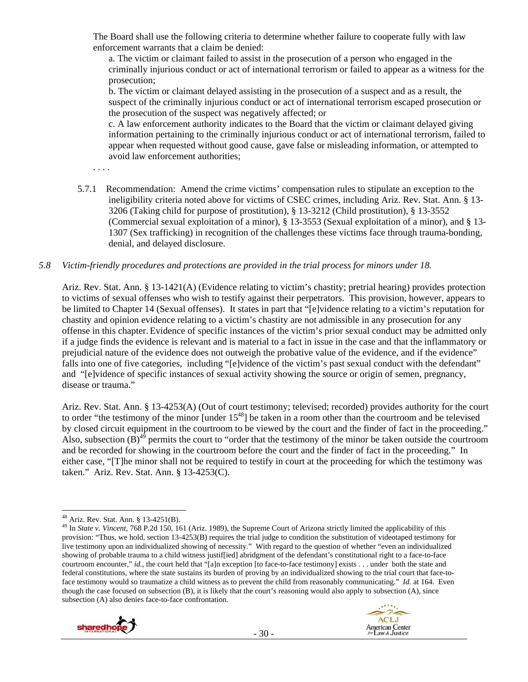The Board shall use the following criteria to determine whether failure to cooperate fully with law enforcement warrants that a claim be denied:

a. The victim or claimant failed to assist in the prosecution of a person who engaged in the criminally injurious conduct or act of international terrorism or failed to appear as a witness for the prosecution;

b. The victim or claimant delayed assisting in the prosecution of a suspect and as a result, the suspect of the criminally injurious conduct or act of international terrorism escaped prosecution or the prosecution of the suspect was negatively affected; or

c. A law enforcement authority indicates to the Board that the victim or claimant delayed giving information pertaining to the criminally injurious conduct or act of international terrorism, failed to appear when requested without good cause, gave false or misleading information, or attempted to avoid law enforcement authorities;

- . . . .
- 5.7.1 Recommendation: Amend the crime victims' compensation rules to stipulate an exception to the ineligibility criteria noted above for victims of CSEC crimes, including Ariz. Rev. Stat. Ann. § 13- 3206 (Taking child for purpose of prostitution), § 13-3212 (Child prostitution), § 13-3552 (Commercial sexual exploitation of a minor), § 13-3553 (Sexual exploitation of a minor), and § 13- 1307 (Sex trafficking) in recognition of the challenges these victims face through trauma-bonding, denial, and delayed disclosure.

## *5.8 Victim-friendly procedures and protections are provided in the trial process for minors under 18.*

Ariz. Rev. Stat. Ann. § 13-1421(A) (Evidence relating to victim's chastity; pretrial hearing) provides protection to victims of sexual offenses who wish to testify against their perpetrators. This provision, however, appears to be limited to Chapter 14 (Sexual offenses). It states in part that "[e]vidence relating to a victim's reputation for chastity and opinion evidence relating to a victim's chastity are not admissible in any prosecution for any offense in this chapter. Evidence of specific instances of the victim's prior sexual conduct may be admitted only if a judge finds the evidence is relevant and is material to a fact in issue in the case and that the inflammatory or prejudicial nature of the evidence does not outweigh the probative value of the evidence, and if the evidence" falls into one of five categories, including "[e]vidence of the victim's past sexual conduct with the defendant" and "[e]vidence of specific instances of sexual activity showing the source or origin of semen, pregnancy, disease or trauma."

Ariz. Rev. Stat. Ann. § 13-4253(A) (Out of court testimony; televised; recorded) provides authority for the court to order "the testimony of the minor [under  $15^{48}$ ] be taken in a room other than the courtroom and be televised by closed circuit equipment in the courtroom to be viewed by the court and the finder of fact in the proceeding." Also, subsection  $(\overline{B})^{4\overline{9}}$  permits the court to "order that the testimony of the minor be taken outside the courtroom and be recorded for showing in the courtroom before the court and the finder of fact in the proceeding." In either case, "[T]he minor shall not be required to testify in court at the proceeding for which the testimony was taken." Ariz. Rev. Stat. Ann. § 13-4253(C).

<sup>49</sup> In *State v. Vincent*, 768 P.2d 150, 161 (Ariz. 1989), the Supreme Court of Arizona strictly limited the applicability of this provision: "Thus, we hold, section 13-4253(B) requires the trial judge to condition the substitution of videotaped testimony for live testimony upon an individualized showing of necessity." With regard to the question of whether "even an individualized showing of probable trauma to a child witness justif[ied] abridgment of the defendant's constitutional right to a face-to-face courtroom encounter," *id.*, the court held that "[a]n exception [to face-to-face testimony] exists . . . under both the state and federal constitutions, where the state sustains its burden of proving by an individualized showing to the trial court that face-toface testimony would so traumatize a child witness as to prevent the child from reasonably communicating." *Id*. at 164. Even though the case focused on subsection (B), it is likely that the court's reasoning would also apply to subsection (A), since subsection (A) also denies face-to-face confrontation.



 $\overline{a}$ 48 Ariz. Rev. Stat. Ann. § 13-4251(B).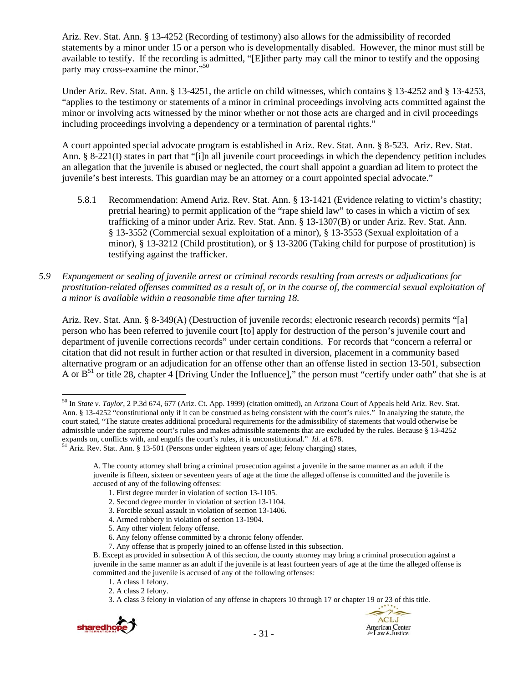Ariz. Rev. Stat. Ann. § 13-4252 (Recording of testimony) also allows for the admissibility of recorded statements by a minor under 15 or a person who is developmentally disabled. However, the minor must still be available to testify. If the recording is admitted, "[E]ither party may call the minor to testify and the opposing party may cross-examine the minor."<sup>50</sup>

Under Ariz. Rev. Stat. Ann. § 13-4251, the article on child witnesses, which contains § 13-4252 and § 13-4253, "applies to the testimony or statements of a minor in criminal proceedings involving acts committed against the minor or involving acts witnessed by the minor whether or not those acts are charged and in civil proceedings including proceedings involving a dependency or a termination of parental rights."

A court appointed special advocate program is established in Ariz. Rev. Stat. Ann. § 8-523. Ariz. Rev. Stat. Ann. § 8-221(I) states in part that "[i]n all juvenile court proceedings in which the dependency petition includes an allegation that the juvenile is abused or neglected, the court shall appoint a guardian ad litem to protect the juvenile's best interests. This guardian may be an attorney or a court appointed special advocate."

- 5.8.1 Recommendation: Amend Ariz. Rev. Stat. Ann. § 13-1421 (Evidence relating to victim's chastity; pretrial hearing) to permit application of the "rape shield law" to cases in which a victim of sex trafficking of a minor under Ariz. Rev. Stat. Ann. § 13-1307(B) or under Ariz. Rev. Stat. Ann. § 13-3552 (Commercial sexual exploitation of a minor), § 13-3553 (Sexual exploitation of a minor), § 13-3212 (Child prostitution), or § 13-3206 (Taking child for purpose of prostitution) is testifying against the trafficker.
- *5.9 Expungement or sealing of juvenile arrest or criminal records resulting from arrests or adjudications for prostitution-related offenses committed as a result of, or in the course of, the commercial sexual exploitation of a minor is available within a reasonable time after turning 18.*

Ariz. Rev. Stat. Ann. § 8-349(A) (Destruction of juvenile records; electronic research records) permits "[a] person who has been referred to juvenile court [to] apply for destruction of the person's juvenile court and department of juvenile corrections records" under certain conditions. For records that "concern a referral or citation that did not result in further action or that resulted in diversion, placement in a community based alternative program or an adjudication for an offense other than an offense listed in section 13-501, subsection A or  $B<sup>51</sup>$  or title 28, chapter 4 [Driving Under the Influence]," the person must "certify under oath" that she is at

<sup>3.</sup> A class 3 felony in violation of any offense in chapters 10 through 17 or chapter 19 or 23 of this title.



<sup>50</sup> In *State v. Taylor*, 2 P.3d 674, 677 (Ariz. Ct. App. 1999) (citation omitted), an Arizona Court of Appeals held Ariz. Rev. Stat. Ann. § 13-4252 "constitutional only if it can be construed as being consistent with the court's rules." In analyzing the statute, the court stated, "The statute creates additional procedural requirements for the admissibility of statements that would otherwise be admissible under the supreme court's rules and makes admissible statements that are excluded by the rules. Because § 13-4252 expands on, conflicts with, and engulfs the court's rules, it is unconstitutional." *Id*. at 678.  $51$  Ariz. Rev. Stat. Ann. § 13-501 (Persons under eighteen years of age; felony charging) states,

A. The county attorney shall bring a criminal prosecution against a juvenile in the same manner as an adult if the juvenile is fifteen, sixteen or seventeen years of age at the time the alleged offense is committed and the juvenile is accused of any of the following offenses:

<sup>1.</sup> First degree murder in violation of section 13-1105.

<sup>2.</sup> Second degree murder in violation of section 13-1104.

<sup>3.</sup> Forcible sexual assault in violation of section 13-1406.

<sup>4.</sup> Armed robbery in violation of section 13-1904.

<sup>5.</sup> Any other violent felony offense.

<sup>6.</sup> Any felony offense committed by a chronic felony offender.

<sup>7.</sup> Any offense that is properly joined to an offense listed in this subsection.

B. Except as provided in subsection A of this section, the county attorney may bring a criminal prosecution against a juvenile in the same manner as an adult if the juvenile is at least fourteen years of age at the time the alleged offense is committed and the juvenile is accused of any of the following offenses:

<sup>1.</sup> A class 1 felony.

<sup>2.</sup> A class 2 felony.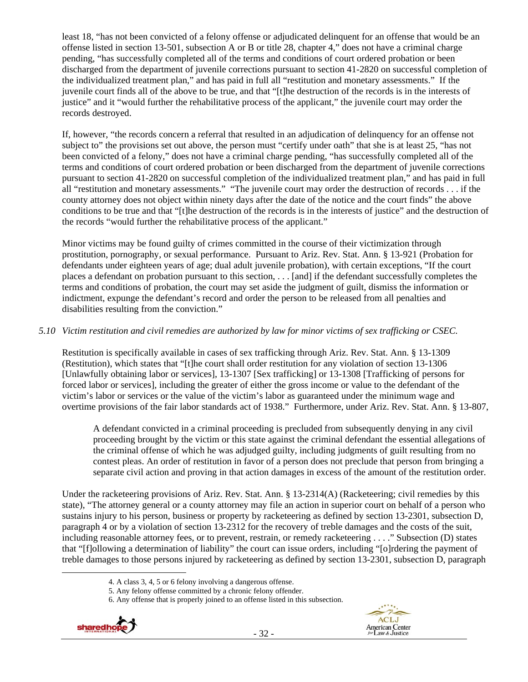least 18, "has not been convicted of a felony offense or adjudicated delinquent for an offense that would be an offense listed in section 13-501, subsection A or B or title 28, chapter 4," does not have a criminal charge pending, "has successfully completed all of the terms and conditions of court ordered probation or been discharged from the department of juvenile corrections pursuant to section 41-2820 on successful completion of the individualized treatment plan," and has paid in full all "restitution and monetary assessments." If the juvenile court finds all of the above to be true, and that "[t]he destruction of the records is in the interests of justice" and it "would further the rehabilitative process of the applicant," the juvenile court may order the records destroyed.

If, however, "the records concern a referral that resulted in an adjudication of delinquency for an offense not subject to" the provisions set out above, the person must "certify under oath" that she is at least 25, "has not been convicted of a felony," does not have a criminal charge pending, "has successfully completed all of the terms and conditions of court ordered probation or been discharged from the department of juvenile corrections pursuant to section 41-2820 on successful completion of the individualized treatment plan," and has paid in full all "restitution and monetary assessments." "The juvenile court may order the destruction of records . . . if the county attorney does not object within ninety days after the date of the notice and the court finds" the above conditions to be true and that "[t]he destruction of the records is in the interests of justice" and the destruction of the records "would further the rehabilitative process of the applicant."

Minor victims may be found guilty of crimes committed in the course of their victimization through prostitution, pornography, or sexual performance. Pursuant to Ariz. Rev. Stat. Ann. § 13-921 (Probation for defendants under eighteen years of age; dual adult juvenile probation), with certain exceptions, "If the court places a defendant on probation pursuant to this section, . . . [and] if the defendant successfully completes the terms and conditions of probation, the court may set aside the judgment of guilt, dismiss the information or indictment, expunge the defendant's record and order the person to be released from all penalties and disabilities resulting from the conviction."

# *5.10 Victim restitution and civil remedies are authorized by law for minor victims of sex trafficking or CSEC.*

Restitution is specifically available in cases of sex trafficking through Ariz. Rev. Stat. Ann. § 13-1309 (Restitution), which states that "[t]he court shall order restitution for any violation of section 13-1306 [Unlawfully obtaining labor or services], 13-1307 [Sex trafficking] or 13-1308 [Trafficking of persons for forced labor or services], including the greater of either the gross income or value to the defendant of the victim's labor or services or the value of the victim's labor as guaranteed under the minimum wage and overtime provisions of the fair labor standards act of 1938." Furthermore, under Ariz. Rev. Stat. Ann. § 13-807,

A defendant convicted in a criminal proceeding is precluded from subsequently denying in any civil proceeding brought by the victim or this state against the criminal defendant the essential allegations of the criminal offense of which he was adjudged guilty, including judgments of guilt resulting from no contest pleas. An order of restitution in favor of a person does not preclude that person from bringing a separate civil action and proving in that action damages in excess of the amount of the restitution order.

Under the racketeering provisions of Ariz. Rev. Stat. Ann. § 13-2314(A) (Racketeering; civil remedies by this state), "The attorney general or a county attorney may file an action in superior court on behalf of a person who sustains injury to his person, business or property by racketeering as defined by section 13-2301, subsection D, paragraph 4 or by a violation of section 13-2312 for the recovery of treble damages and the costs of the suit, including reasonable attorney fees, or to prevent, restrain, or remedy racketeering . . . ." Subsection (D) states that "[f]ollowing a determination of liability" the court can issue orders, including "[o]rdering the payment of treble damages to those persons injured by racketeering as defined by section 13-2301, subsection D, paragraph

<sup>6.</sup> Any offense that is properly joined to an offense listed in this subsection.





 <sup>4.</sup> A class 3, 4, 5 or 6 felony involving a dangerous offense.

<sup>5.</sup> Any felony offense committed by a chronic felony offender.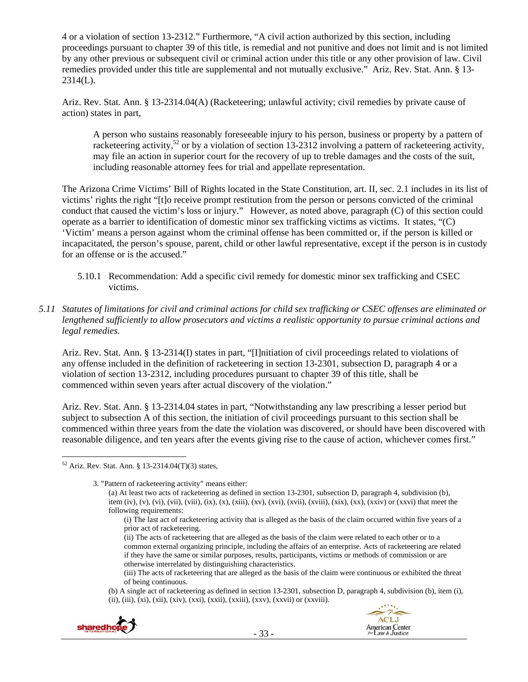4 or a violation of section 13-2312." Furthermore, "A civil action authorized by this section, including proceedings pursuant to chapter 39 of this title, is remedial and not punitive and does not limit and is not limited by any other previous or subsequent civil or criminal action under this title or any other provision of law. Civil remedies provided under this title are supplemental and not mutually exclusive." Ariz. Rev. Stat. Ann. § 13- 2314(L).

Ariz. Rev. Stat. Ann. § 13-2314.04(A) (Racketeering; unlawful activity; civil remedies by private cause of action) states in part,

A person who sustains reasonably foreseeable injury to his person, business or property by a pattern of racketeering activity,<sup>52</sup> or by a violation of section 13-2312 involving a pattern of racketeering activity, may file an action in superior court for the recovery of up to treble damages and the costs of the suit, including reasonable attorney fees for trial and appellate representation.

The Arizona Crime Victims' Bill of Rights located in the State Constitution, art. II, sec. 2.1 includes in its list of victims' rights the right "[t]o receive prompt restitution from the person or persons convicted of the criminal conduct that caused the victim's loss or injury." However, as noted above, paragraph (C) of this section could operate as a barrier to identification of domestic minor sex trafficking victims as victims. It states, "(C) 'Victim' means a person against whom the criminal offense has been committed or, if the person is killed or incapacitated, the person's spouse, parent, child or other lawful representative, except if the person is in custody for an offense or is the accused."

- 5.10.1 Recommendation: Add a specific civil remedy for domestic minor sex trafficking and CSEC victims.
- *5.11 Statutes of limitations for civil and criminal actions for child sex trafficking or CSEC offenses are eliminated or lengthened sufficiently to allow prosecutors and victims a realistic opportunity to pursue criminal actions and legal remedies.*

Ariz. Rev. Stat. Ann. § 13-2314(I) states in part, "[I]nitiation of civil proceedings related to violations of any offense included in the definition of racketeering in section 13-2301, subsection D, paragraph 4 or a violation of section 13-2312, including procedures pursuant to chapter 39 of this title, shall be commenced within seven years after actual discovery of the violation."

Ariz. Rev. Stat. Ann. § 13-2314.04 states in part, "Notwithstanding any law prescribing a lesser period but subject to subsection A of this section, the initiation of civil proceedings pursuant to this section shall be commenced within three years from the date the violation was discovered, or should have been discovered with reasonable diligence, and ten years after the events giving rise to the cause of action, whichever comes first."

(ii) The acts of racketeering that are alleged as the basis of the claim were related to each other or to a common external organizing principle, including the affairs of an enterprise. Acts of racketeering are related if they have the same or similar purposes, results, participants, victims or methods of commission or are otherwise interrelated by distinguishing characteristics.

<sup>(</sup>b) A single act of racketeering as defined in section 13-2301, subsection D, paragraph 4, subdivision (b), item (i), (ii), (iii), (xi), (xii), (xiv), (xxi), (xxii), (xxiii), (xxv), (xxvii) or (xxviii).



 $\overline{a}$  $52$  Ariz. Rev. Stat. Ann. § 13-2314.04(T)(3) states,

<sup>3. &</sup>quot;Pattern of racketeering activity" means either: (a) At least two acts of racketeering as defined in section 13-2301, subsection D, paragraph 4, subdivision (b), item (iv), (v), (vi), (vii), (viii), (ix), (x), (xiii), (xv), (xvi), (xvii), (xviii), (xix), (xx), (xxiv) or (xxvi) that meet the following requirements:

<sup>(</sup>i) The last act of racketeering activity that is alleged as the basis of the claim occurred within five years of a prior act of racketeering.

<sup>(</sup>iii) The acts of racketeering that are alleged as the basis of the claim were continuous or exhibited the threat of being continuous.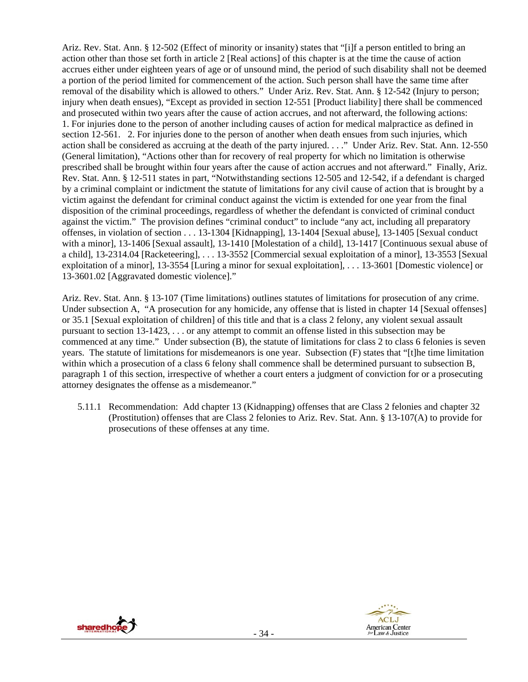Ariz. Rev. Stat. Ann. § 12-502 (Effect of minority or insanity) states that "[i]f a person entitled to bring an action other than those set forth in article 2 [Real actions] of this chapter is at the time the cause of action accrues either under eighteen years of age or of unsound mind, the period of such disability shall not be deemed a portion of the period limited for commencement of the action. Such person shall have the same time after removal of the disability which is allowed to others." Under Ariz. Rev. Stat. Ann. § 12-542 (Injury to person; injury when death ensues), "Except as provided in section 12-551 [Product liability] there shall be commenced and prosecuted within two years after the cause of action accrues, and not afterward, the following actions: 1. For injuries done to the person of another including causes of action for medical malpractice as defined in section 12-561. 2. For injuries done to the person of another when death ensues from such injuries, which action shall be considered as accruing at the death of the party injured. . . ." Under Ariz. Rev. Stat. Ann. 12-550 (General limitation), "Actions other than for recovery of real property for which no limitation is otherwise prescribed shall be brought within four years after the cause of action accrues and not afterward." Finally, Ariz. Rev. Stat. Ann. § 12-511 states in part, "Notwithstanding sections 12-505 and 12-542, if a defendant is charged by a criminal complaint or indictment the statute of limitations for any civil cause of action that is brought by a victim against the defendant for criminal conduct against the victim is extended for one year from the final disposition of the criminal proceedings, regardless of whether the defendant is convicted of criminal conduct against the victim." The provision defines "criminal conduct" to include "any act, including all preparatory offenses, in violation of section . . . 13-1304 [Kidnapping], 13-1404 [Sexual abuse], 13-1405 [Sexual conduct with a minor], 13-1406 [Sexual assault], 13-1410 [Molestation of a child], 13-1417 [Continuous sexual abuse of a child], 13-2314.04 [Racketeering], . . . 13-3552 [Commercial sexual exploitation of a minor], 13-3553 [Sexual exploitation of a minor], 13-3554 [Luring a minor for sexual exploitation], . . . 13-3601 [Domestic violence] or 13-3601.02 [Aggravated domestic violence]."

Ariz. Rev. Stat. Ann. § 13-107 (Time limitations) outlines statutes of limitations for prosecution of any crime. Under subsection A, "A prosecution for any homicide, any offense that is listed in chapter 14 [Sexual offenses] or 35.1 [Sexual exploitation of children] of this title and that is a class 2 felony, any violent sexual assault pursuant to section 13-1423, . . . or any attempt to commit an offense listed in this subsection may be commenced at any time." Under subsection (B), the statute of limitations for class 2 to class 6 felonies is seven years. The statute of limitations for misdemeanors is one year. Subsection (F) states that "[t]he time limitation within which a prosecution of a class 6 felony shall commence shall be determined pursuant to subsection B, paragraph 1 of this section, irrespective of whether a court enters a judgment of conviction for or a prosecuting attorney designates the offense as a misdemeanor."

5.11.1 Recommendation: Add chapter 13 (Kidnapping) offenses that are Class 2 felonies and chapter 32 (Prostitution) offenses that are Class 2 felonies to Ariz. Rev. Stat. Ann. § 13-107(A) to provide for prosecutions of these offenses at any time.



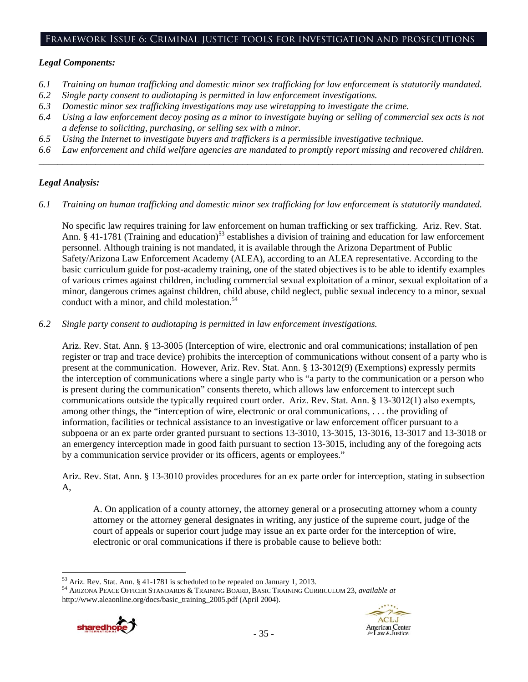## Framework Issue 6: Criminal justice tools for investigation and prosecutions

## *Legal Components:*

- *6.1 Training on human trafficking and domestic minor sex trafficking for law enforcement is statutorily mandated.*
- *6.2 Single party consent to audiotaping is permitted in law enforcement investigations.*
- *6.3 Domestic minor sex trafficking investigations may use wiretapping to investigate the crime.*
- *6.4 Using a law enforcement decoy posing as a minor to investigate buying or selling of commercial sex acts is not a defense to soliciting, purchasing, or selling sex with a minor.*
- *6.5 Using the Internet to investigate buyers and traffickers is a permissible investigative technique.*
- *6.6 Law enforcement and child welfare agencies are mandated to promptly report missing and recovered children. \_\_\_\_\_\_\_\_\_\_\_\_\_\_\_\_\_\_\_\_\_\_\_\_\_\_\_\_\_\_\_\_\_\_\_\_\_\_\_\_\_\_\_\_\_\_\_\_\_\_\_\_\_\_\_\_\_\_\_\_\_\_\_\_\_\_\_\_\_\_\_\_\_\_\_\_\_\_\_\_\_\_\_\_\_\_\_\_\_\_\_\_\_\_*

# *Legal Analysis:*

*6.1 Training on human trafficking and domestic minor sex trafficking for law enforcement is statutorily mandated.* 

No specific law requires training for law enforcement on human trafficking or sex trafficking. Ariz. Rev. Stat. Ann. § 41-1781 (Training and education)<sup>53</sup> establishes a division of training and education for law enforcement personnel. Although training is not mandated, it is available through the Arizona Department of Public Safety/Arizona Law Enforcement Academy (ALEA), according to an ALEA representative. According to the basic curriculum guide for post-academy training, one of the stated objectives is to be able to identify examples of various crimes against children, including commercial sexual exploitation of a minor, sexual exploitation of a minor, dangerous crimes against children, child abuse, child neglect, public sexual indecency to a minor, sexual conduct with a minor, and child molestation.<sup>54</sup>

*6.2 Single party consent to audiotaping is permitted in law enforcement investigations.* 

Ariz. Rev. Stat. Ann. § 13-3005 (Interception of wire, electronic and oral communications; installation of pen register or trap and trace device) prohibits the interception of communications without consent of a party who is present at the communication. However, Ariz. Rev. Stat. Ann. § 13-3012(9) (Exemptions) expressly permits the interception of communications where a single party who is "a party to the communication or a person who is present during the communication" consents thereto, which allows law enforcement to intercept such communications outside the typically required court order. Ariz. Rev. Stat. Ann. § 13-3012(1) also exempts, among other things, the "interception of wire, electronic or oral communications, . . . the providing of information, facilities or technical assistance to an investigative or law enforcement officer pursuant to a subpoena or an ex parte order granted pursuant to sections 13-3010, 13-3015, 13-3016, 13-3017 and 13-3018 or an emergency interception made in good faith pursuant to section 13-3015, including any of the foregoing acts by a communication service provider or its officers, agents or employees."

Ariz. Rev. Stat. Ann. § 13-3010 provides procedures for an ex parte order for interception, stating in subsection A,

A. On application of a county attorney, the attorney general or a prosecuting attorney whom a county attorney or the attorney general designates in writing, any justice of the supreme court, judge of the court of appeals or superior court judge may issue an ex parte order for the interception of wire, electronic or oral communications if there is probable cause to believe both:

<sup>53</sup> Ariz. Rev. Stat. Ann. § 41-1781 is scheduled to be repealed on January 1, 2013. 54 ARIZONA PEACE OFFICER STANDARDS & TRAINING BOARD, BASIC TRAINING CURRICULUM 23, *available at* http://www.aleaonline.org/docs/basic\_training\_2005.pdf (April 2004).



 $\overline{a}$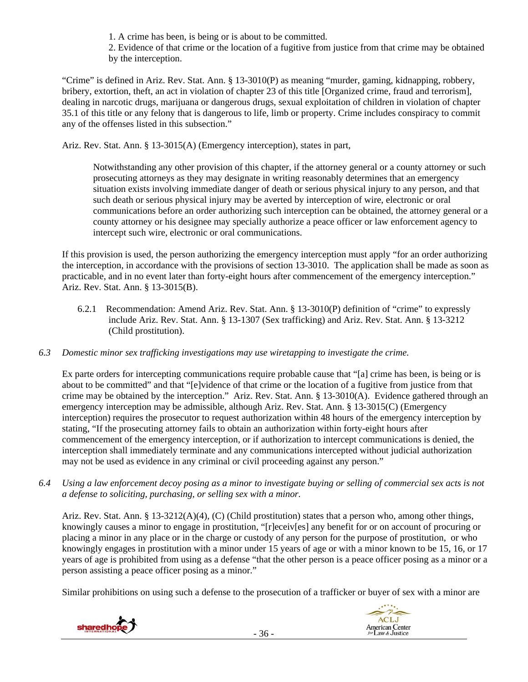- 1. A crime has been, is being or is about to be committed.
- 2. Evidence of that crime or the location of a fugitive from justice from that crime may be obtained by the interception.

"Crime" is defined in Ariz. Rev. Stat. Ann. § 13-3010(P) as meaning "murder, gaming, kidnapping, robbery, bribery, extortion, theft, an act in violation of chapter 23 of this title [Organized crime, fraud and terrorism], dealing in narcotic drugs, marijuana or dangerous drugs, sexual exploitation of children in violation of chapter 35.1 of this title or any felony that is dangerous to life, limb or property. Crime includes conspiracy to commit any of the offenses listed in this subsection."

Ariz. Rev. Stat. Ann. § 13-3015(A) (Emergency interception), states in part,

Notwithstanding any other provision of this chapter, if the attorney general or a county attorney or such prosecuting attorneys as they may designate in writing reasonably determines that an emergency situation exists involving immediate danger of death or serious physical injury to any person, and that such death or serious physical injury may be averted by interception of wire, electronic or oral communications before an order authorizing such interception can be obtained, the attorney general or a county attorney or his designee may specially authorize a peace officer or law enforcement agency to intercept such wire, electronic or oral communications.

If this provision is used, the person authorizing the emergency interception must apply "for an order authorizing the interception, in accordance with the provisions of section 13-3010. The application shall be made as soon as practicable, and in no event later than forty-eight hours after commencement of the emergency interception." Ariz. Rev. Stat. Ann. § 13-3015(B).

- 6.2.1 Recommendation: Amend Ariz. Rev. Stat. Ann. § 13-3010(P) definition of "crime" to expressly include Ariz. Rev. Stat. Ann. § 13-1307 (Sex trafficking) and Ariz. Rev. Stat. Ann. § 13-3212 (Child prostitution).
- *6.3 Domestic minor sex trafficking investigations may use wiretapping to investigate the crime.*

Ex parte orders for intercepting communications require probable cause that "[a] crime has been, is being or is about to be committed" and that "[e]vidence of that crime or the location of a fugitive from justice from that crime may be obtained by the interception." Ariz. Rev. Stat. Ann. § 13-3010(A). Evidence gathered through an emergency interception may be admissible, although Ariz. Rev. Stat. Ann. § 13-3015(C) (Emergency interception) requires the prosecutor to request authorization within 48 hours of the emergency interception by stating, "If the prosecuting attorney fails to obtain an authorization within forty-eight hours after commencement of the emergency interception, or if authorization to intercept communications is denied, the interception shall immediately terminate and any communications intercepted without judicial authorization may not be used as evidence in any criminal or civil proceeding against any person."

*6.4 Using a law enforcement decoy posing as a minor to investigate buying or selling of commercial sex acts is not a defense to soliciting, purchasing, or selling sex with a minor.* 

Ariz. Rev. Stat. Ann. § 13-3212(A)(4), (C) (Child prostitution) states that a person who, among other things, knowingly causes a minor to engage in prostitution, "[r]eceiv[es] any benefit for or on account of procuring or placing a minor in any place or in the charge or custody of any person for the purpose of prostitution, or who knowingly engages in prostitution with a minor under 15 years of age or with a minor known to be 15, 16, or 17 years of age is prohibited from using as a defense "that the other person is a peace officer posing as a minor or a person assisting a peace officer posing as a minor."

Similar prohibitions on using such a defense to the prosecution of a trafficker or buyer of sex with a minor are



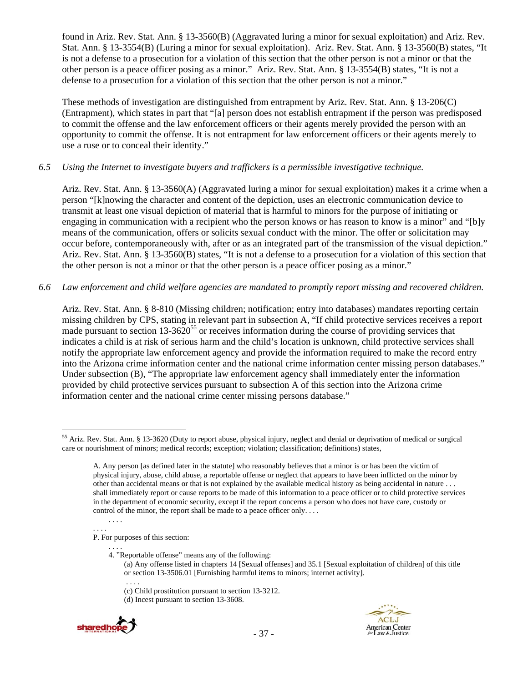found in Ariz. Rev. Stat. Ann. § 13-3560(B) (Aggravated luring a minor for sexual exploitation) and Ariz. Rev. Stat. Ann. § 13-3554(B) (Luring a minor for sexual exploitation). Ariz. Rev. Stat. Ann. § 13-3560(B) states, "It is not a defense to a prosecution for a violation of this section that the other person is not a minor or that the other person is a peace officer posing as a minor." Ariz. Rev. Stat. Ann. § 13-3554(B) states, "It is not a defense to a prosecution for a violation of this section that the other person is not a minor."

These methods of investigation are distinguished from entrapment by Ariz. Rev. Stat. Ann. § 13-206(C) (Entrapment), which states in part that "[a] person does not establish entrapment if the person was predisposed to commit the offense and the law enforcement officers or their agents merely provided the person with an opportunity to commit the offense. It is not entrapment for law enforcement officers or their agents merely to use a ruse or to conceal their identity."

## *6.5 Using the Internet to investigate buyers and traffickers is a permissible investigative technique.*

Ariz. Rev. Stat. Ann. § 13-3560(A) (Aggravated luring a minor for sexual exploitation) makes it a crime when a person "[k]nowing the character and content of the depiction, uses an electronic communication device to transmit at least one visual depiction of material that is harmful to minors for the purpose of initiating or engaging in communication with a recipient who the person knows or has reason to know is a minor" and "[b]y means of the communication, offers or solicits sexual conduct with the minor. The offer or solicitation may occur before, contemporaneously with, after or as an integrated part of the transmission of the visual depiction." Ariz. Rev. Stat. Ann. § 13-3560(B) states, "It is not a defense to a prosecution for a violation of this section that the other person is not a minor or that the other person is a peace officer posing as a minor."

# *6.6 Law enforcement and child welfare agencies are mandated to promptly report missing and recovered children.*

Ariz. Rev. Stat. Ann. § 8-810 (Missing children; notification; entry into databases) mandates reporting certain missing children by CPS, stating in relevant part in subsection A, "If child protective services receives a report made pursuant to section  $13-3620^{55}$  or receives information during the course of providing services that indicates a child is at risk of serious harm and the child's location is unknown, child protective services shall notify the appropriate law enforcement agency and provide the information required to make the record entry into the Arizona crime information center and the national crime information center missing person databases." Under subsection (B), "The appropriate law enforcement agency shall immediately enter the information provided by child protective services pursuant to subsection A of this section into the Arizona crime information center and the national crime center missing persons database."

. . . .

P. For purposes of this section:

. . . . 4. "Reportable offense" means any of the following:

<sup>(</sup>c) Child prostitution pursuant to section 13-3212. (d) Incest pursuant to section 13-3608.





 $\overline{a}$ 55 Ariz. Rev. Stat. Ann. § 13-3620 (Duty to report abuse, physical injury, neglect and denial or deprivation of medical or surgical care or nourishment of minors; medical records; exception; violation; classification; definitions) states,

A. Any person [as defined later in the statute] who reasonably believes that a minor is or has been the victim of physical injury, abuse, child abuse, a reportable offense or neglect that appears to have been inflicted on the minor by other than accidental means or that is not explained by the available medical history as being accidental in nature . . . shall immediately report or cause reports to be made of this information to a peace officer or to child protective services in the department of economic security, except if the report concerns a person who does not have care, custody or control of the minor, the report shall be made to a peace officer only. . . .

<sup>. . . .</sup> 

<sup>(</sup>a) Any offense listed in chapters 14 [Sexual offenses] and 35.1 [Sexual exploitation of children] of this title or section 13-3506.01 [Furnishing harmful items to minors; internet activity].

 <sup>. . . .</sup>